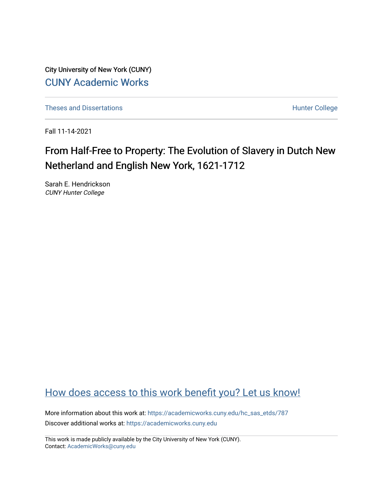City University of New York (CUNY) [CUNY Academic Works](https://academicworks.cuny.edu/) 

[Theses and Dissertations](https://academicworks.cuny.edu/hc_sas_etds) **Hunter College** 

Fall 11-14-2021

# From Half-Free to Property: The Evolution of Slavery in Dutch New Netherland and English New York, 1621-1712

Sarah E. Hendrickson CUNY Hunter College

## [How does access to this work benefit you? Let us know!](http://ols.cuny.edu/academicworks/?ref=https://academicworks.cuny.edu/hc_sas_etds/787)

More information about this work at: [https://academicworks.cuny.edu/hc\\_sas\\_etds/787](https://academicworks.cuny.edu/hc_sas_etds/787)  Discover additional works at: [https://academicworks.cuny.edu](https://academicworks.cuny.edu/?)

This work is made publicly available by the City University of New York (CUNY). Contact: [AcademicWorks@cuny.edu](mailto:AcademicWorks@cuny.edu)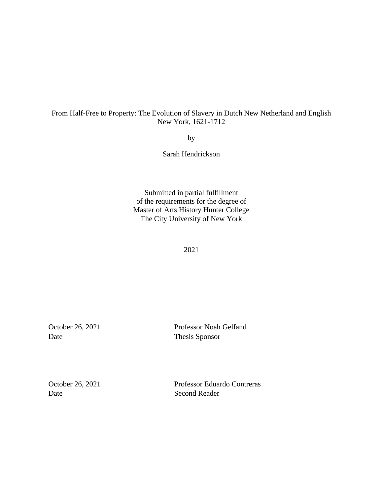#### From Half-Free to Property: The Evolution of Slavery in Dutch New Netherland and English New York, 1621-1712

by

Sarah Hendrickson

Submitted in partial fulfillment of the requirements for the degree of Master of Arts History Hunter College The City University of New York

2021

Date Thesis Sponsor

October 26, 2021 Professor Noah Gelfand

Date Second Reader

October 26, 2021 Professor Eduardo Contreras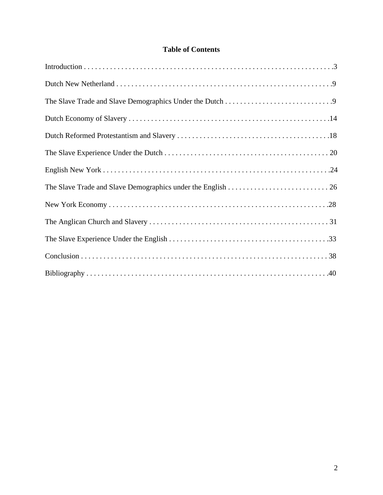### **Table of Contents**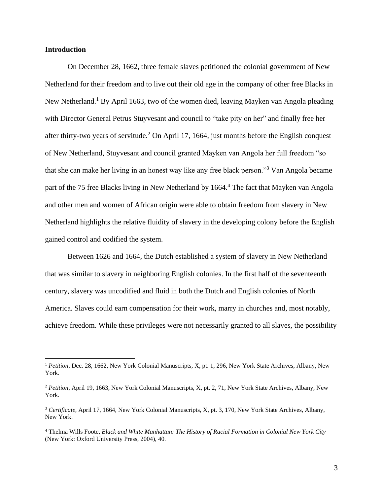#### **Introduction**

On December 28, 1662, three female slaves petitioned the colonial government of New Netherland for their freedom and to live out their old age in the company of other free Blacks in New Netherland.<sup>1</sup> By April 1663, two of the women died, leaving Mayken van Angola pleading with Director General Petrus Stuyvesant and council to "take pity on her" and finally free her after thirty-two years of servitude.<sup>2</sup> On April 17, 1664, just months before the English conquest of New Netherland, Stuyvesant and council granted Mayken van Angola her full freedom "so that she can make her living in an honest way like any free black person."<sup>3</sup> Van Angola became part of the 75 free Blacks living in New Netherland by 1664.<sup>4</sup> The fact that Mayken van Angola and other men and women of African origin were able to obtain freedom from slavery in New Netherland highlights the relative fluidity of slavery in the developing colony before the English gained control and codified the system.

Between 1626 and 1664, the Dutch established a system of slavery in New Netherland that was similar to slavery in neighboring English colonies. In the first half of the seventeenth century, slavery was uncodified and fluid in both the Dutch and English colonies of North America. Slaves could earn compensation for their work, marry in churches and, most notably, achieve freedom. While these privileges were not necessarily granted to all slaves, the possibility

<sup>1</sup> *Petition*, Dec. 28, 1662, New York Colonial Manuscripts, X, pt. 1, 296, New York State Archives, Albany, New York.

<sup>&</sup>lt;sup>2</sup> Petition, April 19, 1663, New York Colonial Manuscripts, X, pt. 2, 71, New York State Archives, Albany, New York.

<sup>3</sup> *Certificate*, April 17, 1664, New York Colonial Manuscripts, X, pt. 3, 170, New York State Archives, Albany, New York.

<sup>4</sup> Thelma Wills Foote, *Black and White Manhattan: The History of Racial Formation in Colonial New York City* (New York: Oxford University Press, 2004), 40.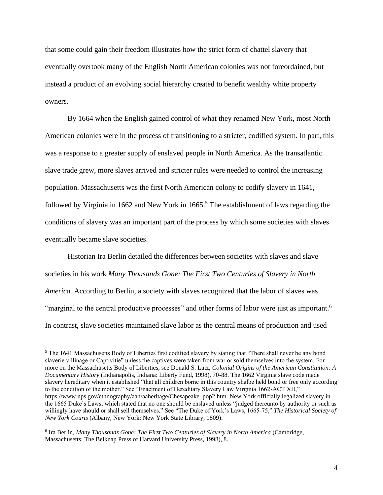that some could gain their freedom illustrates how the strict form of chattel slavery that eventually overtook many of the English North American colonies was not foreordained, but instead a product of an evolving social hierarchy created to benefit wealthy white property owners.

By 1664 when the English gained control of what they renamed New York, most North American colonies were in the process of transitioning to a stricter, codified system. In part, this was a response to a greater supply of enslaved people in North America. As the transatlantic slave trade grew, more slaves arrived and stricter rules were needed to control the increasing population. Massachusetts was the first North American colony to codify slavery in 1641, followed by Virginia in 1662 and New York in  $1665$ .<sup>5</sup> The establishment of laws regarding the conditions of slavery was an important part of the process by which some societies with slaves eventually became slave societies.

Historian Ira Berlin detailed the differences between societies with slaves and slave societies in his work *Many Thousands Gone: The First Two Centuries of Slavery in North America.* According to Berlin, a society with slaves recognized that the labor of slaves was "marginal to the central productive processes" and other forms of labor were just as important.<sup>6</sup> In contrast, slave societies maintained slave labor as the central means of production and used

<sup>&</sup>lt;sup>5</sup> The 1641 Massachusetts Body of Liberties first codified slavery by stating that "There shall never be any bond slaverie villinage or Captivitie" unless the captives were taken from war or sold themselves into the system. For more on the Massachusetts Body of Liberties, see Donald S. Lutz, *Colonial Origins of the American Constitution: A Documentary History* (Indianapolis, Indiana: Liberty Fund, 1998), 70-88. The 1662 Virginia slave code made slavery hereditary when it established "that all children borne in this country shalbe held bond or free only according to the condition of the mother." See "Enactment of Hereditary Slavery Law Virginia 1662-ACT XII," [https://www.nps.gov/ethnography/aah/aaheritage/Chesapeake\\_pop2.htm.](https://www.nps.gov/ethnography/aah/aaheritage/Chesapeake_pop2.htm) New York officially legalized slavery in the 1665 Duke's Laws, which stated that no one should be enslaved unless "judged thereunto by authority or such as willingly have should or shall sell themselves." See "The Duke of York's Laws, 1665-75," *The Historical Society of New York Courts* (Albany, New York: New York State Library, 1809).

<sup>&</sup>lt;sup>6</sup> Ira Berlin, *Many Thousands Gone: The First Two Centuries of Slavery in North America (Cambridge,* Massachusetts: The Belknap Press of Harvard University Press, 1998), 8.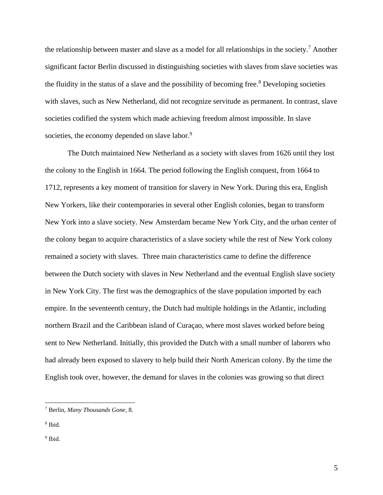the relationship between master and slave as a model for all relationships in the society.<sup>7</sup> Another significant factor Berlin discussed in distinguishing societies with slaves from slave societies was the fluidity in the status of a slave and the possibility of becoming free. <sup>8</sup> Developing societies with slaves, such as New Netherland, did not recognize servitude as permanent. In contrast, slave societies codified the system which made achieving freedom almost impossible. In slave societies, the economy depended on slave labor.<sup>9</sup>

The Dutch maintained New Netherland as a society with slaves from 1626 until they lost the colony to the English in 1664. The period following the English conquest, from 1664 to 1712, represents a key moment of transition for slavery in New York. During this era, English New Yorkers, like their contemporaries in several other English colonies, began to transform New York into a slave society. New Amsterdam became New York City, and the urban center of the colony began to acquire characteristics of a slave society while the rest of New York colony remained a society with slaves. Three main characteristics came to define the difference between the Dutch society with slaves in New Netherland and the eventual English slave society in New York City. The first was the demographics of the slave population imported by each empire. In the seventeenth century, the Dutch had multiple holdings in the Atlantic, including northern Brazil and the Caribbean island of Curaçao, where most slaves worked before being sent to New Netherland. Initially, this provided the Dutch with a small number of laborers who had already been exposed to slavery to help build their North American colony. By the time the English took over, however, the demand for slaves in the colonies was growing so that direct

<sup>7</sup> Berlin, *Many Thousands Gone*, 8.

<sup>8</sup> Ibid.

<sup>&</sup>lt;sup>9</sup> Ibid.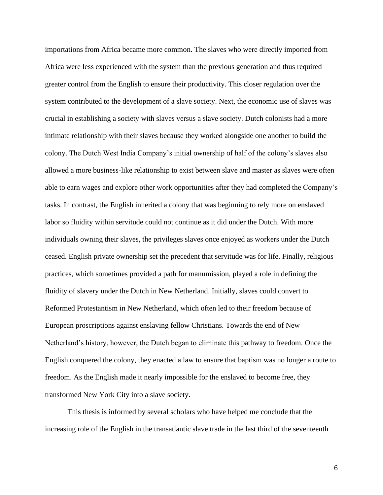importations from Africa became more common. The slaves who were directly imported from Africa were less experienced with the system than the previous generation and thus required greater control from the English to ensure their productivity. This closer regulation over the system contributed to the development of a slave society. Next, the economic use of slaves was crucial in establishing a society with slaves versus a slave society. Dutch colonists had a more intimate relationship with their slaves because they worked alongside one another to build the colony. The Dutch West India Company's initial ownership of half of the colony's slaves also allowed a more business-like relationship to exist between slave and master as slaves were often able to earn wages and explore other work opportunities after they had completed the Company's tasks. In contrast, the English inherited a colony that was beginning to rely more on enslaved labor so fluidity within servitude could not continue as it did under the Dutch. With more individuals owning their slaves, the privileges slaves once enjoyed as workers under the Dutch ceased. English private ownership set the precedent that servitude was for life. Finally, religious practices, which sometimes provided a path for manumission, played a role in defining the fluidity of slavery under the Dutch in New Netherland. Initially, slaves could convert to Reformed Protestantism in New Netherland, which often led to their freedom because of European proscriptions against enslaving fellow Christians. Towards the end of New Netherland's history, however, the Dutch began to eliminate this pathway to freedom. Once the English conquered the colony, they enacted a law to ensure that baptism was no longer a route to freedom. As the English made it nearly impossible for the enslaved to become free, they transformed New York City into a slave society.

This thesis is informed by several scholars who have helped me conclude that the increasing role of the English in the transatlantic slave trade in the last third of the seventeenth

6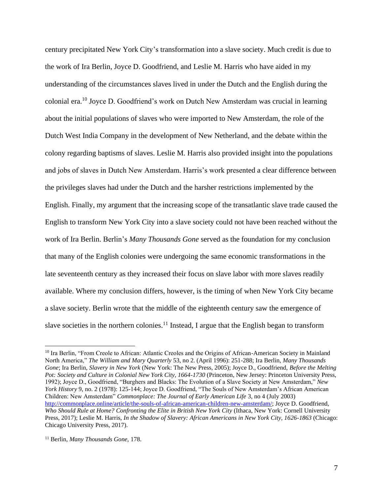century precipitated New York City's transformation into a slave society. Much credit is due to the work of Ira Berlin, Joyce D. Goodfriend, and Leslie M. Harris who have aided in my understanding of the circumstances slaves lived in under the Dutch and the English during the colonial era.<sup>10</sup> Joyce D. Goodfriend's work on Dutch New Amsterdam was crucial in learning about the initial populations of slaves who were imported to New Amsterdam, the role of the Dutch West India Company in the development of New Netherland, and the debate within the colony regarding baptisms of slaves. Leslie M. Harris also provided insight into the populations and jobs of slaves in Dutch New Amsterdam. Harris's work presented a clear difference between the privileges slaves had under the Dutch and the harsher restrictions implemented by the English. Finally, my argument that the increasing scope of the transatlantic slave trade caused the English to transform New York City into a slave society could not have been reached without the work of Ira Berlin. Berlin's *Many Thousands Gone* served as the foundation for my conclusion that many of the English colonies were undergoing the same economic transformations in the late seventeenth century as they increased their focus on slave labor with more slaves readily available. Where my conclusion differs, however, is the timing of when New York City became a slave society. Berlin wrote that the middle of the eighteenth century saw the emergence of slave societies in the northern colonies.<sup>11</sup> Instead, I argue that the English began to transform

<sup>&</sup>lt;sup>10</sup> Ira Berlin, "From Creole to African: Atlantic Creoles and the Origins of African-American Society in Mainland North America," *The William and Mary Quarterly* 53, no 2. (April 1996): 251-288; Ira Berlin, *Many Thousands Gone*; Ira Berlin, *Slavery in New York* (New York: The New Press, 2005); Joyce D., Goodfriend, *Before the Melting Pot: Society and Culture in Colonial New York City, 1664-1730* (Princeton, New Jersey: Princeton University Press, 1992); Joyce D., Goodfriend, "Burghers and Blacks: The Evolution of a Slave Society at New Amsterdam," *New York History* 9, no. 2 (1978): 125-144; Joyce D. Goodfriend, "The Souls of New Amsterdam's African American Children: New Amsterdam" *Commonplace: The Journal of Early American Life* 3, no 4 (July 2003) [http://commonplace.online/article/the-souls-of-african-american-children-new-amsterdam/;](http://commonplace.online/article/the-souls-of-african-american-children-new-amsterdam/) Joyce D. Goodfriend, *Who Should Rule at Home? Confronting the Elite in British New York City* (Ithaca, New York: Cornell University Press, 2017); Leslie M. Harris, *In the Shadow of Slavery: African Americans in New York City, 1626-1863* (Chicago: Chicago University Press, 2017).

<sup>11</sup> Berlin, *Many Thousands Gone,* 178.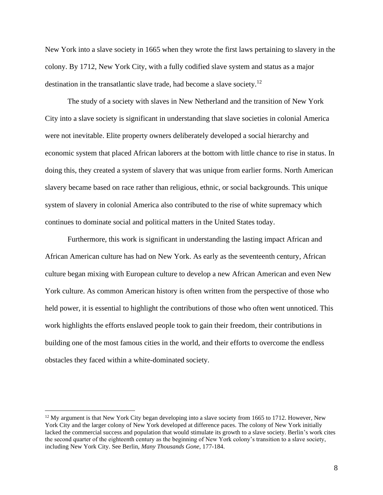New York into a slave society in 1665 when they wrote the first laws pertaining to slavery in the colony. By 1712, New York City, with a fully codified slave system and status as a major destination in the transatlantic slave trade, had become a slave society.<sup>12</sup>

The study of a society with slaves in New Netherland and the transition of New York City into a slave society is significant in understanding that slave societies in colonial America were not inevitable. Elite property owners deliberately developed a social hierarchy and economic system that placed African laborers at the bottom with little chance to rise in status. In doing this, they created a system of slavery that was unique from earlier forms. North American slavery became based on race rather than religious, ethnic, or social backgrounds. This unique system of slavery in colonial America also contributed to the rise of white supremacy which continues to dominate social and political matters in the United States today.

Furthermore, this work is significant in understanding the lasting impact African and African American culture has had on New York. As early as the seventeenth century, African culture began mixing with European culture to develop a new African American and even New York culture. As common American history is often written from the perspective of those who held power, it is essential to highlight the contributions of those who often went unnoticed. This work highlights the efforts enslaved people took to gain their freedom, their contributions in building one of the most famous cities in the world, and their efforts to overcome the endless obstacles they faced within a white-dominated society.

<sup>&</sup>lt;sup>12</sup> My argument is that New York City began developing into a slave society from 1665 to 1712. However, New York City and the larger colony of New York developed at difference paces. The colony of New York initially lacked the commercial success and population that would stimulate its growth to a slave society. Berlin's work cites the second quarter of the eighteenth century as the beginning of New York colony's transition to a slave society, including New York City. See Berlin, *Many Thousands Gone*, 177-184.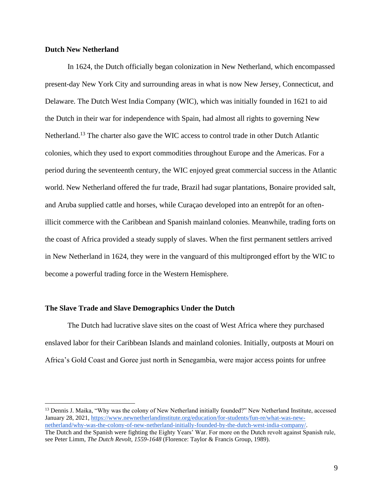#### **Dutch New Netherland**

In 1624, the Dutch officially began colonization in New Netherland, which encompassed present-day New York City and surrounding areas in what is now New Jersey, Connecticut, and Delaware. The Dutch West India Company (WIC), which was initially founded in 1621 to aid the Dutch in their war for independence with Spain, had almost all rights to governing New Netherland.<sup>13</sup> The charter also gave the WIC access to control trade in other Dutch Atlantic colonies, which they used to export commodities throughout Europe and the Americas. For a period during the seventeenth century, the WIC enjoyed great commercial success in the Atlantic world. New Netherland offered the fur trade, Brazil had sugar plantations, Bonaire provided salt, and Aruba supplied cattle and horses, while Curaçao developed into an entrepôt for an oftenillicit commerce with the Caribbean and Spanish mainland colonies. Meanwhile, trading forts on the coast of Africa provided a steady supply of slaves. When the first permanent settlers arrived in New Netherland in 1624, they were in the vanguard of this multipronged effort by the WIC to become a powerful trading force in the Western Hemisphere.

#### **The Slave Trade and Slave Demographics Under the Dutch**

The Dutch had lucrative slave sites on the coast of West Africa where they purchased enslaved labor for their Caribbean Islands and mainland colonies. Initially, outposts at Mouri on Africa's Gold Coast and Goree just north in Senegambia, were major access points for unfree

<sup>&</sup>lt;sup>13</sup> Dennis J. Maika, "Why was the colony of New Netherland initially founded?" New Netherland Institute, accessed January 28, 2021, [https://www.newnetherlandinstitute.org/education/for-students/fun-re/what-was-new](https://www.newnetherlandinstitute.org/education/for-students/fun-re/what-was-new-netherland/why-was-the-colony-of-new-netherland-initially-founded-by-the-dutch-west-india-company/)[netherland/why-was-the-colony-of-new-netherland-initially-founded-by-the-dutch-west-india-company/.](https://www.newnetherlandinstitute.org/education/for-students/fun-re/what-was-new-netherland/why-was-the-colony-of-new-netherland-initially-founded-by-the-dutch-west-india-company/)

The Dutch and the Spanish were fighting the Eighty Years' War. For more on the Dutch revolt against Spanish rule, see Peter Limm, *The Dutch Revolt, 1559-1648* (Florence: Taylor & Francis Group, 1989).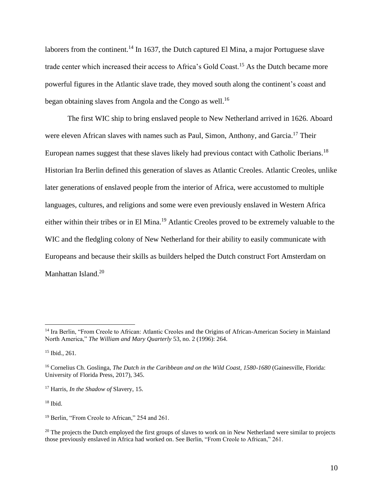laborers from the continent.<sup>14</sup> In 1637, the Dutch captured El Mina, a major Portuguese slave trade center which increased their access to Africa's Gold Coast.<sup>15</sup> As the Dutch became more powerful figures in the Atlantic slave trade, they moved south along the continent's coast and began obtaining slaves from Angola and the Congo as well.<sup>16</sup>

The first WIC ship to bring enslaved people to New Netherland arrived in 1626. Aboard were eleven African slaves with names such as Paul, Simon, Anthony, and Garcia.<sup>17</sup> Their European names suggest that these slaves likely had previous contact with Catholic Iberians.<sup>18</sup> Historian Ira Berlin defined this generation of slaves as Atlantic Creoles. Atlantic Creoles, unlike later generations of enslaved people from the interior of Africa, were accustomed to multiple languages, cultures, and religions and some were even previously enslaved in Western Africa either within their tribes or in El Mina.<sup>19</sup> Atlantic Creoles proved to be extremely valuable to the WIC and the fledgling colony of New Netherland for their ability to easily communicate with Europeans and because their skills as builders helped the Dutch construct Fort Amsterdam on Manhattan Island.<sup>20</sup>

 $18$  Ibid.

<sup>&</sup>lt;sup>14</sup> Ira Berlin, "From Creole to African: Atlantic Creoles and the Origins of African-American Society in Mainland North America," *The William and Mary Quarterly* 53, no. 2 (1996): 264.

<sup>&</sup>lt;sup>15</sup> Ibid., 261.

<sup>&</sup>lt;sup>16</sup> Cornelius Ch. Goslinga, *The Dutch in the Caribbean and on the Wild Coast, 1580-1680* (Gainesville, Florida: University of Florida Press, 2017), 345.

<sup>17</sup> Harris, *In the Shadow of* Slavery, 15.

<sup>&</sup>lt;sup>19</sup> Berlin, "From Creole to African," 254 and 261.

<sup>&</sup>lt;sup>20</sup> The projects the Dutch employed the first groups of slaves to work on in New Netherland were similar to projects those previously enslaved in Africa had worked on. See Berlin, "From Creole to African," 261.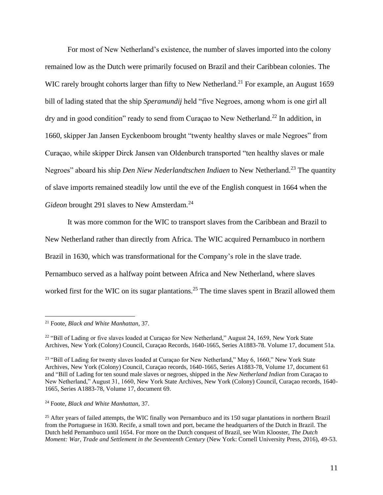For most of New Netherland's existence, the number of slaves imported into the colony remained low as the Dutch were primarily focused on Brazil and their Caribbean colonies. The WIC rarely brought cohorts larger than fifty to New Netherland.<sup>21</sup> For example, an August 1659 bill of lading stated that the ship *Speramundij* held "five Negroes, among whom is one girl all dry and in good condition" ready to send from Curaçao to New Netherland.<sup>22</sup> In addition, in 1660, skipper Jan Jansen Eyckenboom brought "twenty healthy slaves or male Negroes" from Curaçao, while skipper Dirck Jansen van Oldenburch transported "ten healthy slaves or male Negroes" aboard his ship *Den Niew Nederlandtschen Indiaen* to New Netherland.<sup>23</sup> The quantity of slave imports remained steadily low until the eve of the English conquest in 1664 when the *Gideon* brought 291 slaves to New Amsterdam.<sup>24</sup>

It was more common for the WIC to transport slaves from the Caribbean and Brazil to New Netherland rather than directly from Africa. The WIC acquired Pernambuco in northern Brazil in 1630, which was transformational for the Company's role in the slave trade. Pernambuco served as a halfway point between Africa and New Netherland, where slaves worked first for the WIC on its sugar plantations.<sup>25</sup> The time slaves spent in Brazil allowed them

<sup>24</sup> Foote, *Black and White Manhattan,* 37.

<sup>21</sup> Foote, *Black and White Manhattan*, 37.

 $22$  "Bill of Lading or five slaves loaded at Curaçao for New Netherland," August 24, 1659, New York State Archives, New York (Colony) Council, Curaçao Records, 1640-1665, Series A1883-78. Volume 17, document 51a.

<sup>&</sup>lt;sup>23</sup> "Bill of Lading for twenty slaves loaded at Curaçao for New Netherland," May 6, 1660," New York State Archives, New York (Colony) Council, Curaçao records, 1640-1665, Series A1883-78, Volume 17, document 61 and "Bill of Lading for ten sound male slaves or negroes, shipped in the *New Netherland Indian* from Curaçao to New Netherland," August 31, 1660, New York State Archives, New York (Colony) Council, Curaçao records, 1640- 1665, Series A1883-78, Volume 17, document 69.

<sup>&</sup>lt;sup>25</sup> After vears of failed attempts, the WIC finally won Pernambuco and its 150 sugar plantations in northern Brazil from the Portuguese in 1630. Recife, a small town and port, became the headquarters of the Dutch in Brazil. The Dutch held Pernambuco until 1654. For more on the Dutch conquest of Brazil, see Wim Klooster, *The Dutch Moment: War, Trade and Settlement in the Seventeenth Century* (New York: Cornell University Press, 2016), 49-53.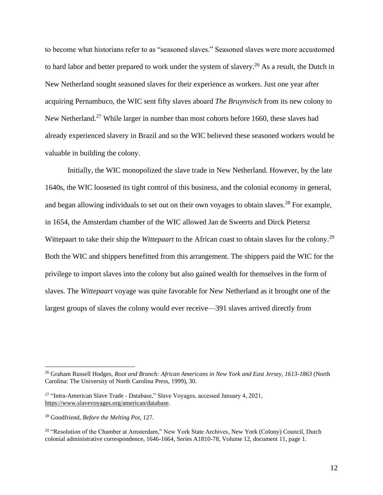to become what historians refer to as "seasoned slaves." Seasoned slaves were more accustomed to hard labor and better prepared to work under the system of slavery.<sup>26</sup> As a result, the Dutch in New Netherland sought seasoned slaves for their experience as workers. Just one year after acquiring Pernambuco, the WIC sent fifty slaves aboard *The Bruynvisch* from its new colony to New Netherland.<sup>27</sup> While larger in number than most cohorts before 1660, these slaves had already experienced slavery in Brazil and so the WIC believed these seasoned workers would be valuable in building the colony.

Initially, the WIC monopolized the slave trade in New Netherland. However, by the late 1640s, the WIC loosened its tight control of this business, and the colonial economy in general, and began allowing individuals to set out on their own voyages to obtain slaves.<sup>28</sup> For example, in 1654, the Amsterdam chamber of the WIC allowed Jan de Sweerts and Dirck Pietersz Wittepaart to take their ship the *Wittepaart* to the African coast to obtain slaves for the colony.<sup>29</sup> Both the WIC and shippers benefitted from this arrangement. The shippers paid the WIC for the privilege to import slaves into the colony but also gained wealth for themselves in the form of slaves. The *Wittepaart* voyage was quite favorable for New Netherland as it brought one of the largest groups of slaves the colony would ever receive—391 slaves arrived directly from

<sup>26</sup> Graham Russell Hodges, *Root and Branch: African Americans in New York and East Jersey, 1613-1863* (North Carolina: The University of North Carolina Press, 1999), 30.

<sup>27</sup> "Intra-American Slave Trade - Database," Slave Voyages, accessed January 4, 2021, [https://www.slavevoyages.org/american/database.](https://www.slavevoyages.org/american/database)

<sup>28</sup> Goodfriend, *Before the Melting Pot*, 127.

<sup>&</sup>lt;sup>29</sup> "Resolution of the Chamber at Amsterdam," New York State Archives, New York (Colony) Council, Dutch colonial administrative correspondence, 1646-1664, Series A1810-78, Volume 12, document 11, page 1.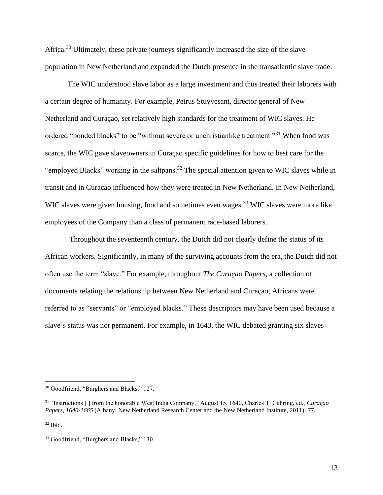Africa.<sup>30</sup> Ultimately, these private journeys significantly increased the size of the slave population in New Netherland and expanded the Dutch presence in the transatlantic slave trade.

The WIC understood slave labor as a large investment and thus treated their laborers with a certain degree of humanity. For example, Petrus Stuyvesant, director general of New Netherland and Curaçao, set relatively high standards for the treatment of WIC slaves. He ordered "bonded blacks" to be "without severe or unchristianlike treatment."<sup>31</sup> When food was scarce, the WIC gave slaveowners in Curaçao specific guidelines for how to best care for the "employed Blacks" working in the saltpans.<sup>32</sup> The special attention given to WIC slaves while in transit and in Curaçao influenced how they were treated in New Netherland. In New Netherland, WIC slaves were given housing, food and sometimes even wages.<sup>33</sup> WIC slaves were more like employees of the Company than a class of permanent race-based laborers.

Throughout the seventeenth century, the Dutch did not clearly define the status of its African workers. Significantly, in many of the surviving accounts from the era, the Dutch did not often use the term "slave." For example, throughout *The Curaçao Papers*, a collection of documents relating the relationship between New Netherland and Curaçao, Africans were referred to as "servants" or "employed blacks." These descriptors may have been used because a slave's status was not permanent. For example, in 1643, the WIC debated granting six slaves

<sup>30</sup> Goodfriend, "Burghers and Blacks," 127.

<sup>31</sup> "Instructions [ ] from the honorable West India Company," August 15, 1640, Charles T. Gehring, ed., *Curaçao Papers, 1640-1665* (Albany: New Netherland Research Center and the New Netherland Institute, 2011), 77.

 $32$  Ibid.

<sup>&</sup>lt;sup>33</sup> Goodfriend, "Burghers and Blacks," 130.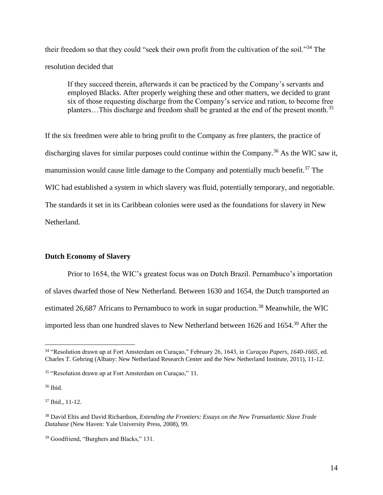their freedom so that they could "seek their own profit from the cultivation of the soil."<sup>34</sup> The resolution decided that

If they succeed therein, afterwards it can be practiced by the Company's servants and employed Blacks. After properly weighing these and other matters, we decided to grant six of those requesting discharge from the Company's service and ration, to become free planters...This discharge and freedom shall be granted at the end of the present month.<sup>35</sup>

If the six freedmen were able to bring profit to the Company as free planters, the practice of discharging slaves for similar purposes could continue within the Company.<sup>36</sup> As the WIC saw it, manumission would cause little damage to the Company and potentially much benefit.<sup>37</sup> The WIC had established a system in which slavery was fluid, potentially temporary, and negotiable. The standards it set in its Caribbean colonies were used as the foundations for slavery in New Netherland.

#### **Dutch Economy of Slavery**

Prior to 1654, the WIC's greatest focus was on Dutch Brazil. Pernambuco's importation of slaves dwarfed those of New Netherland. Between 1630 and 1654, the Dutch transported an estimated 26,687 Africans to Pernambuco to work in sugar production.<sup>38</sup> Meanwhile, the WIC imported less than one hundred slaves to New Netherland between 1626 and 1654.<sup>39</sup> After the

<sup>36</sup> Ibid.

 $37$  Ibid.,  $11-12$ .

<sup>34</sup> "Resolution drawn up at Fort Amsterdam on Curaçao," February 26, 1643, in *Curaçao Papers, 1640-1665*, ed. Charles T. Gehring (Albany: New Netherland Research Center and the New Netherland Institute, 2011), 11-12.

<sup>35</sup> "Resolution drawn up at Fort Amsterdam on Curaçao," 11.

<sup>38</sup> David Eltis and David Richardson, *Extending the Frontiers: Essays on the New Transatlantic Slave Trade Database* (New Haven: Yale University Press, 2008), 99.

<sup>39</sup> Goodfriend, "Burghers and Blacks," 131.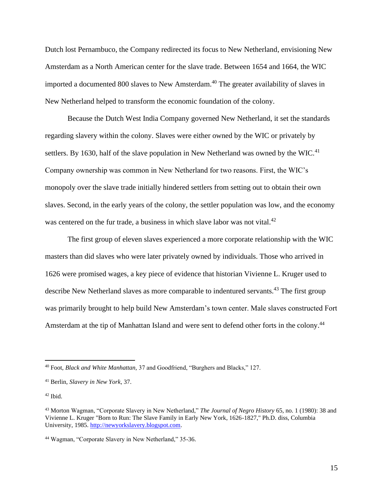Dutch lost Pernambuco, the Company redirected its focus to New Netherland, envisioning New Amsterdam as a North American center for the slave trade. Between 1654 and 1664, the WIC imported a documented 800 slaves to New Amsterdam.<sup>40</sup> The greater availability of slaves in New Netherland helped to transform the economic foundation of the colony.

Because the Dutch West India Company governed New Netherland, it set the standards regarding slavery within the colony. Slaves were either owned by the WIC or privately by settlers. By 1630, half of the slave population in New Netherland was owned by the WIC.<sup>41</sup> Company ownership was common in New Netherland for two reasons. First, the WIC's monopoly over the slave trade initially hindered settlers from setting out to obtain their own slaves. Second, in the early years of the colony, the settler population was low, and the economy was centered on the fur trade, a business in which slave labor was not vital.<sup>42</sup>

The first group of eleven slaves experienced a more corporate relationship with the WIC masters than did slaves who were later privately owned by individuals. Those who arrived in 1626 were promised wages, a key piece of evidence that historian Vivienne L. Kruger used to describe New Netherland slaves as more comparable to indentured servants.<sup>43</sup> The first group was primarily brought to help build New Amsterdam's town center. Male slaves constructed Fort Amsterdam at the tip of Manhattan Island and were sent to defend other forts in the colony.<sup>44</sup>

<sup>40</sup> Foot, *Black and White Manhattan,* 37 and Goodfriend, "Burghers and Blacks," 127.

<sup>41</sup> Berlin, *Slavery in New York*, 37.

 $42$  Ibid.

<sup>43</sup> Morton Wagman, "Corporate Slavery in New Netherland," *The Journal of Negro History* 65, no. 1 (1980): 38 and Vivienne L. Kruger "Born to Run: The Slave Family in Early New York, 1626-1827," Ph.D. diss, Columbia University, 1985. [http://newyorkslavery.blogspot.com.](http://newyorkslavery.blogspot.com/)

<sup>44</sup> Wagman, "Corporate Slavery in New Netherland," 35-36.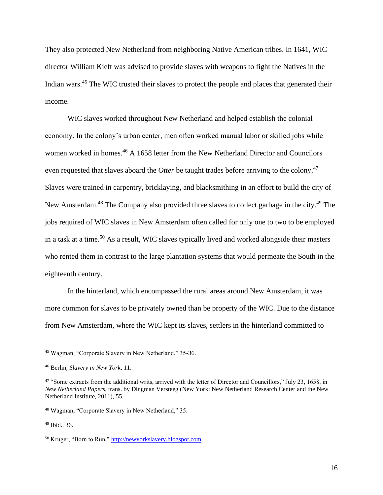They also protected New Netherland from neighboring Native American tribes. In 1641, WIC director William Kieft was advised to provide slaves with weapons to fight the Natives in the Indian wars.<sup>45</sup> The WIC trusted their slaves to protect the people and places that generated their income.

WIC slaves worked throughout New Netherland and helped establish the colonial economy. In the colony's urban center, men often worked manual labor or skilled jobs while women worked in homes.<sup>46</sup> A 1658 letter from the New Netherland Director and Councilors even requested that slaves aboard the *Otter* be taught trades before arriving to the colony.<sup>47</sup> Slaves were trained in carpentry, bricklaying, and blacksmithing in an effort to build the city of New Amsterdam.<sup>48</sup> The Company also provided three slaves to collect garbage in the city.<sup>49</sup> The jobs required of WIC slaves in New Amsterdam often called for only one to two to be employed in a task at a time.<sup>50</sup> As a result, WIC slaves typically lived and worked alongside their masters who rented them in contrast to the large plantation systems that would permeate the South in the eighteenth century.

In the hinterland, which encompassed the rural areas around New Amsterdam, it was more common for slaves to be privately owned than be property of the WIC. Due to the distance from New Amsterdam, where the WIC kept its slaves, settlers in the hinterland committed to

<sup>45</sup> Wagman, "Corporate Slavery in New Netherland," 35-36.

<sup>46</sup> Berlin, *Slavery in New York*, 11.

<sup>&</sup>lt;sup>47</sup> "Some extracts from the additional writs, arrived with the letter of Director and Councillors," July 23, 1658, in *New Netherland Papers,* trans. by Dingman Versteeg (New York: New Netherland Research Center and the New Netherland Institute, 2011), 55.

<sup>48</sup> Wagman, "Corporate Slavery in New Netherland," 35.

 $49$  Ibid., 36.

<sup>50</sup> Kruger, "Born to Run,[" http://newyorkslavery.blogspot.com](http://newyorkslavery.blogspot.com/)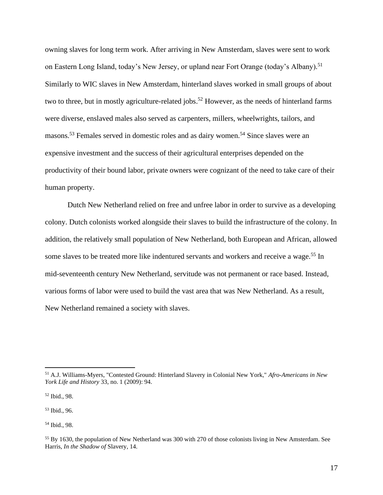owning slaves for long term work. After arriving in New Amsterdam, slaves were sent to work on Eastern Long Island, today's New Jersey, or upland near Fort Orange (today's Albany).<sup>51</sup> Similarly to WIC slaves in New Amsterdam, hinterland slaves worked in small groups of about two to three, but in mostly agriculture-related jobs.<sup>52</sup> However, as the needs of hinterland farms were diverse, enslaved males also served as carpenters, millers, wheelwrights, tailors, and masons.<sup>53</sup> Females served in domestic roles and as dairy women.<sup>54</sup> Since slaves were an expensive investment and the success of their agricultural enterprises depended on the productivity of their bound labor, private owners were cognizant of the need to take care of their human property.

Dutch New Netherland relied on free and unfree labor in order to survive as a developing colony. Dutch colonists worked alongside their slaves to build the infrastructure of the colony. In addition, the relatively small population of New Netherland, both European and African, allowed some slaves to be treated more like indentured servants and workers and receive a wage.<sup>55</sup> In mid-seventeenth century New Netherland, servitude was not permanent or race based. Instead, various forms of labor were used to build the vast area that was New Netherland. As a result, New Netherland remained a society with slaves.

<sup>53</sup> Ibid., 96.

<sup>54</sup> Ibid., 98.

<sup>51</sup> A.J. Williams-Myers, "Contested Ground: Hinterland Slavery in Colonial New York," *Afro-Americans in New York Life and History* 33, no. 1 (2009): 94.

<sup>52</sup> Ibid., 98.

<sup>&</sup>lt;sup>55</sup> By 1630, the population of New Netherland was 300 with 270 of those colonists living in New Amsterdam. See Harris, *In the Shadow of* Slavery, 14.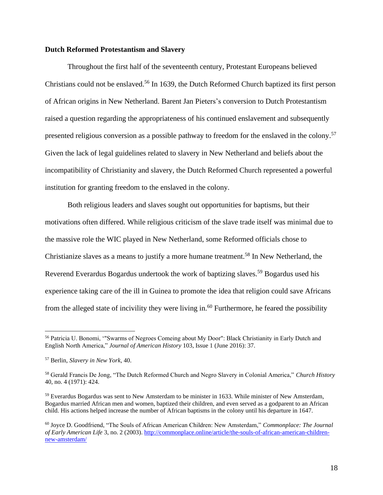#### **Dutch Reformed Protestantism and Slavery**

Throughout the first half of the seventeenth century, Protestant Europeans believed Christians could not be enslaved.<sup>56</sup> In 1639, the Dutch Reformed Church baptized its first person of African origins in New Netherland. Barent Jan Pieters's conversion to Dutch Protestantism raised a question regarding the appropriateness of his continued enslavement and subsequently presented religious conversion as a possible pathway to freedom for the enslaved in the colony.<sup>57</sup> Given the lack of legal guidelines related to slavery in New Netherland and beliefs about the incompatibility of Christianity and slavery, the Dutch Reformed Church represented a powerful institution for granting freedom to the enslaved in the colony.

Both religious leaders and slaves sought out opportunities for baptisms, but their motivations often differed. While religious criticism of the slave trade itself was minimal due to the massive role the WIC played in New Netherland, some Reformed officials chose to Christianize slaves as a means to justify a more humane treatment.<sup>58</sup> In New Netherland, the Reverend Everardus Bogardus undertook the work of baptizing slaves.<sup>59</sup> Bogardus used his experience taking care of the ill in Guinea to promote the idea that religion could save Africans from the alleged state of incivility they were living in.<sup>60</sup> Furthermore, he feared the possibility

<sup>56</sup> Patricia U. Bonomi, '"Swarms of Negroes Comeing about My Door": Black Christianity in Early Dutch and English North America," *Journal of American History* 103, Issue 1 (June 2016): 37.

<sup>57</sup> Berlin, *Slavery in New York*, 40.

<sup>58</sup> Gerald Francis De Jong, "The Dutch Reformed Church and Negro Slavery in Colonial America," *Church History*  40, no. 4 (1971): 424.

<sup>59</sup> Everardus Bogardus was sent to New Amsterdam to be minister in 1633. While minister of New Amsterdam, Bogardus married African men and women, baptized their children, and even served as a godparent to an African child. His actions helped increase the number of African baptisms in the colony until his departure in 1647.

<sup>60</sup> Joyce D. Goodfriend, "The Souls of African American Children: New Amsterdam," *Commonplace: The Journal of Early American Life* 3, no. 2 (2003)[. http://commonplace.online/article/the-souls-of-african-american-children](http://commonplace.online/article/the-souls-of-african-american-children-new-amsterdam/)[new-amsterdam/](http://commonplace.online/article/the-souls-of-african-american-children-new-amsterdam/)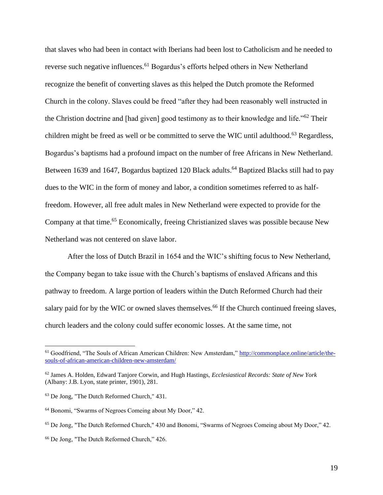that slaves who had been in contact with Iberians had been lost to Catholicism and he needed to reverse such negative influences.<sup>61</sup> Bogardus's efforts helped others in New Netherland recognize the benefit of converting slaves as this helped the Dutch promote the Reformed Church in the colony. Slaves could be freed "after they had been reasonably well instructed in the Christion doctrine and [had given] good testimony as to their knowledge and life."<sup>62</sup> Their children might be freed as well or be committed to serve the WIC until adulthood.<sup>63</sup> Regardless, Bogardus's baptisms had a profound impact on the number of free Africans in New Netherland. Between 1639 and 1647, Bogardus baptized 120 Black adults.<sup>64</sup> Baptized Blacks still had to pay dues to the WIC in the form of money and labor, a condition sometimes referred to as halffreedom. However, all free adult males in New Netherland were expected to provide for the Company at that time. <sup>65</sup> Economically, freeing Christianized slaves was possible because New Netherland was not centered on slave labor.

After the loss of Dutch Brazil in 1654 and the WIC's shifting focus to New Netherland, the Company began to take issue with the Church's baptisms of enslaved Africans and this pathway to freedom. A large portion of leaders within the Dutch Reformed Church had their salary paid for by the WIC or owned slaves themselves.<sup>66</sup> If the Church continued freeing slaves, church leaders and the colony could suffer economic losses. At the same time, not

<sup>61</sup> Goodfriend, "The Souls of African American Children: New Amsterdam," [http://commonplace.online/article/the](http://commonplace.online/article/the-souls-of-african-american-children-new-amsterdam/)[souls-of-african-american-children-new-amsterdam/](http://commonplace.online/article/the-souls-of-african-american-children-new-amsterdam/)

<sup>62</sup> James A. Holden, Edward Tanjore Corwin, and Hugh Hastings, *Ecclesiastical Records: State of New York* (Albany: J.B. Lyon, state printer, 1901), 281.

<sup>63</sup> De Jong, "The Dutch Reformed Church," 431.

<sup>64</sup> Bonomi, "Swarms of Negroes Comeing about My Door," 42.

<sup>65</sup> De Jong, "The Dutch Reformed Church," 430 and Bonomi, "Swarms of Negroes Comeing about My Door," 42.

<sup>66</sup> De Jong, "The Dutch Reformed Church," 426.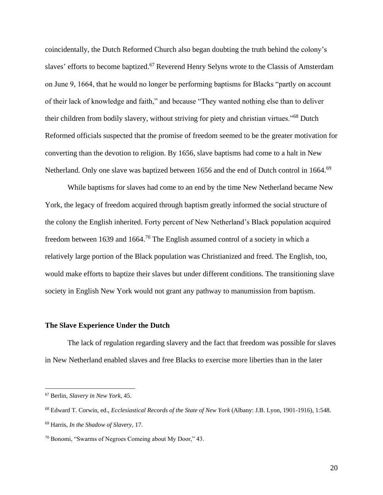coincidentally, the Dutch Reformed Church also began doubting the truth behind the colony's slaves' efforts to become baptized.<sup>67</sup> Reverend Henry Selyns wrote to the Classis of Amsterdam on June 9, 1664, that he would no longer be performing baptisms for Blacks "partly on account of their lack of knowledge and faith," and because "They wanted nothing else than to deliver their children from bodily slavery, without striving for piety and christian virtues."<sup>68</sup> Dutch Reformed officials suspected that the promise of freedom seemed to be the greater motivation for converting than the devotion to religion. By 1656, slave baptisms had come to a halt in New Netherland. Only one slave was baptized between 1656 and the end of Dutch control in 1664.<sup>69</sup>

While baptisms for slaves had come to an end by the time New Netherland became New York, the legacy of freedom acquired through baptism greatly informed the social structure of the colony the English inherited. Forty percent of New Netherland's Black population acquired freedom between 1639 and 1664.<sup>70</sup> The English assumed control of a society in which a relatively large portion of the Black population was Christianized and freed. The English, too, would make efforts to baptize their slaves but under different conditions. The transitioning slave society in English New York would not grant any pathway to manumission from baptism.

#### **The Slave Experience Under the Dutch**

The lack of regulation regarding slavery and the fact that freedom was possible for slaves in New Netherland enabled slaves and free Blacks to exercise more liberties than in the later

<sup>67</sup> Berlin, *Slavery in New York*, 45.

<sup>68</sup> Edward T. Corwin, ed., *Ecclesiastical Records of the State of New York* (Albany: J.B. Lyon, 1901-1916), 1:548. <sup>69</sup> Harris, *In the Shadow of Slavery*, 17.

<sup>70</sup> Bonomi, "Swarms of Negroes Comeing about My Door," 43.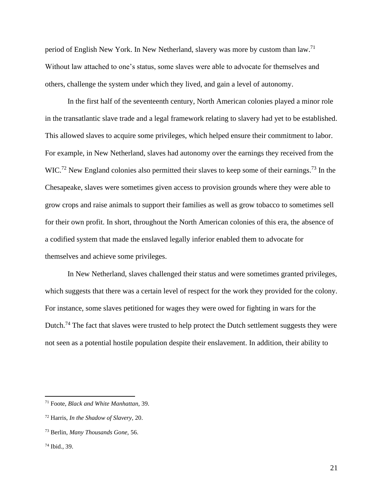period of English New York. In New Netherland, slavery was more by custom than law.<sup>71</sup> Without law attached to one's status, some slaves were able to advocate for themselves and others, challenge the system under which they lived, and gain a level of autonomy.

In the first half of the seventeenth century, North American colonies played a minor role in the transatlantic slave trade and a legal framework relating to slavery had yet to be established. This allowed slaves to acquire some privileges, which helped ensure their commitment to labor. For example, in New Netherland, slaves had autonomy over the earnings they received from the WIC.<sup>72</sup> New England colonies also permitted their slaves to keep some of their earnings.<sup>73</sup> In the Chesapeake, slaves were sometimes given access to provision grounds where they were able to grow crops and raise animals to support their families as well as grow tobacco to sometimes sell for their own profit. In short, throughout the North American colonies of this era, the absence of a codified system that made the enslaved legally inferior enabled them to advocate for themselves and achieve some privileges.

In New Netherland, slaves challenged their status and were sometimes granted privileges, which suggests that there was a certain level of respect for the work they provided for the colony. For instance, some slaves petitioned for wages they were owed for fighting in wars for the Dutch.<sup>74</sup> The fact that slaves were trusted to help protect the Dutch settlement suggests they were not seen as a potential hostile population despite their enslavement. In addition, their ability to

<sup>71</sup> Foote, *Black and White Manhattan,* 39.

<sup>72</sup> Harris, *In the Shadow of Slavery,* 20.

<sup>73</sup> Berlin, *Many Thousands Gone,* 56.

<sup>74</sup> Ibid., 39.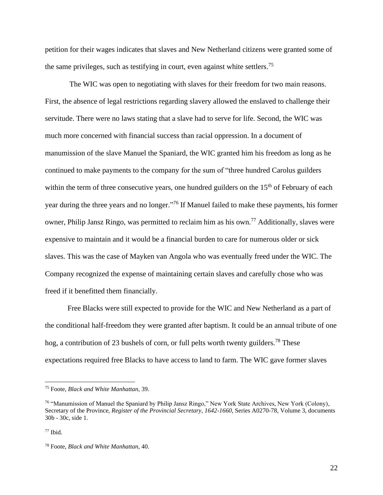petition for their wages indicates that slaves and New Netherland citizens were granted some of the same privileges, such as testifying in court, even against white settlers.<sup>75</sup>

The WIC was open to negotiating with slaves for their freedom for two main reasons. First, the absence of legal restrictions regarding slavery allowed the enslaved to challenge their servitude. There were no laws stating that a slave had to serve for life. Second, the WIC was much more concerned with financial success than racial oppression. In a document of manumission of the slave Manuel the Spaniard, the WIC granted him his freedom as long as he continued to make payments to the company for the sum of "three hundred Carolus guilders within the term of three consecutive years, one hundred guilders on the  $15<sup>th</sup>$  of February of each year during the three years and no longer."<sup>76</sup> If Manuel failed to make these payments, his former owner, Philip Jansz Ringo, was permitted to reclaim him as his own.<sup>77</sup> Additionally, slaves were expensive to maintain and it would be a financial burden to care for numerous older or sick slaves. This was the case of Mayken van Angola who was eventually freed under the WIC. The Company recognized the expense of maintaining certain slaves and carefully chose who was freed if it benefitted them financially.

Free Blacks were still expected to provide for the WIC and New Netherland as a part of the conditional half-freedom they were granted after baptism. It could be an annual tribute of one hog, a contribution of 23 bushels of corn, or full pelts worth twenty guilders.<sup>78</sup> These expectations required free Blacks to have access to land to farm. The WIC gave former slaves

<sup>75</sup> Foote, *Black and White Manhattan,* 39.

<sup>76</sup> "Manumission of Manuel the Spaniard by Philip Jansz Ringo," New York State Archives, New York (Colony), Secretary of the Province, *Register of the Provincial Secretary, 1642-1660*, Series A0270-78, Volume 3, documents 30b - 30c, side 1.

 $77$  Ibid.

<sup>78</sup> Foote, *Black and White Manhattan,* 40.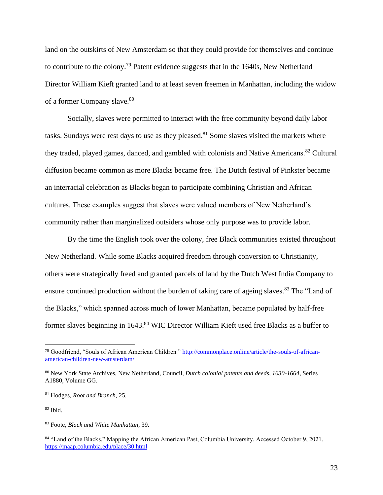land on the outskirts of New Amsterdam so that they could provide for themselves and continue to contribute to the colony.<sup>79</sup> Patent evidence suggests that in the  $1640s$ , New Netherland Director William Kieft granted land to at least seven freemen in Manhattan, including the widow of a former Company slave.<sup>80</sup>

Socially, slaves were permitted to interact with the free community beyond daily labor tasks. Sundays were rest days to use as they pleased. $81$  Some slaves visited the markets where they traded, played games, danced, and gambled with colonists and Native Americans.<sup>82</sup> Cultural diffusion became common as more Blacks became free. The Dutch festival of Pinkster became an interracial celebration as Blacks began to participate combining Christian and African cultures. These examples suggest that slaves were valued members of New Netherland's community rather than marginalized outsiders whose only purpose was to provide labor.

By the time the English took over the colony, free Black communities existed throughout New Netherland. While some Blacks acquired freedom through conversion to Christianity, others were strategically freed and granted parcels of land by the Dutch West India Company to ensure continued production without the burden of taking care of ageing slaves.<sup>83</sup> The "Land of the Blacks," which spanned across much of lower Manhattan, became populated by half-free former slaves beginning in 1643.<sup>84</sup> WIC Director William Kieft used free Blacks as a buffer to

<sup>79</sup> Goodfriend, "Souls of African American Children." [http://commonplace.online/article/the-souls-of-african](http://commonplace.online/article/the-souls-of-african-american-children-new-amsterdam/)[american-children-new-amsterdam/](http://commonplace.online/article/the-souls-of-african-american-children-new-amsterdam/)

<sup>80</sup> New York State Archives, New Netherland, Council, *Dutch colonial patents and deeds, 1630-1664*, Series A1880, Volume GG.

<sup>81</sup> Hodges, *Root and Branch,* 25.

<sup>82</sup> Ibid.

<sup>83</sup> Foote, *Black and White Manhattan*, 39.

<sup>84 &</sup>quot;Land of the Blacks," Mapping the African American Past, Columbia University, Accessed October 9, 2021. <https://maap.columbia.edu/place/30.html>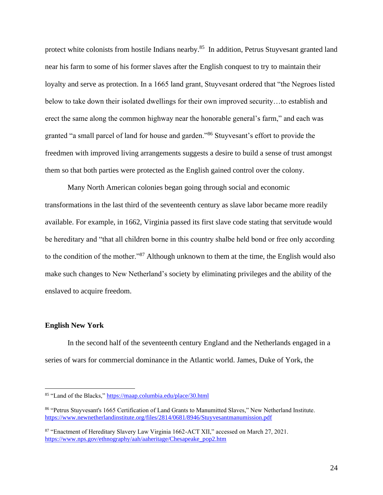protect white colonists from hostile Indians nearby.<sup>85</sup> In addition, Petrus Stuyvesant granted land near his farm to some of his former slaves after the English conquest to try to maintain their loyalty and serve as protection. In a 1665 land grant, Stuyvesant ordered that "the Negroes listed below to take down their isolated dwellings for their own improved security…to establish and erect the same along the common highway near the honorable general's farm," and each was granted "a small parcel of land for house and garden."<sup>86</sup> Stuyvesant's effort to provide the freedmen with improved living arrangements suggests a desire to build a sense of trust amongst them so that both parties were protected as the English gained control over the colony.

Many North American colonies began going through social and economic transformations in the last third of the seventeenth century as slave labor became more readily available. For example, in 1662, Virginia passed its first slave code stating that servitude would be hereditary and "that all children borne in this country shalbe held bond or free only according to the condition of the mother."<sup>87</sup> Although unknown to them at the time, the English would also make such changes to New Netherland's society by eliminating privileges and the ability of the enslaved to acquire freedom.

#### **English New York**

In the second half of the seventeenth century England and the Netherlands engaged in a series of wars for commercial dominance in the Atlantic world. James, Duke of York, the

<sup>85</sup> "Land of the Blacks," <https://maap.columbia.edu/place/30.html>

<sup>86</sup> "Petrus Stuyvesant's 1665 Certification of Land Grants to Manumitted Slaves," New Netherland Institute. <https://www.newnetherlandinstitute.org/files/2814/0681/8946/Stuyvesantmanumission.pdf>

<sup>87</sup> "Enactment of Hereditary Slavery Law Virginia 1662-ACT XII," accessed on March 27, 2021. [https://www.nps.gov/ethnography/aah/aaheritage/Chesapeake\\_pop2.htm](https://www.nps.gov/ethnography/aah/aaheritage/Chesapeake_pop2.htm)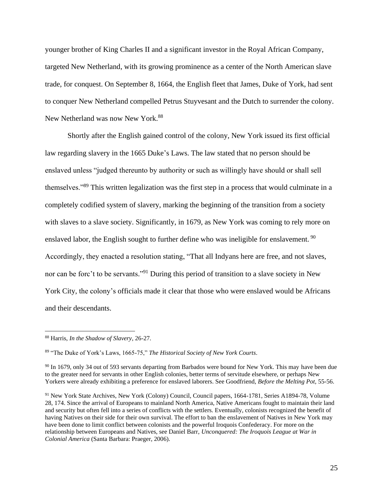younger brother of King Charles II and a significant investor in the Royal African Company, targeted New Netherland, with its growing prominence as a center of the North American slave trade, for conquest. On September 8, 1664, the English fleet that James, Duke of York, had sent to conquer New Netherland compelled Petrus Stuyvesant and the Dutch to surrender the colony. New Netherland was now New York.<sup>88</sup>

Shortly after the English gained control of the colony, New York issued its first official law regarding slavery in the 1665 Duke's Laws. The law stated that no person should be enslaved unless "judged thereunto by authority or such as willingly have should or shall sell themselves."<sup>89</sup> This written legalization was the first step in a process that would culminate in a completely codified system of slavery, marking the beginning of the transition from a society with slaves to a slave society. Significantly, in 1679, as New York was coming to rely more on enslaved labor, the English sought to further define who was ineligible for enslavement.<sup>90</sup> Accordingly, they enacted a resolution stating, "That all Indyans here are free, and not slaves, nor can be forc't to be servants."<sup>91</sup> During this period of transition to a slave society in New York City, the colony's officials made it clear that those who were enslaved would be Africans and their descendants.

<sup>88</sup> Harris, *In the Shadow of Slavery*, 26-27.

<sup>89</sup> "The Duke of York's Laws, 1665-75," *The Historical Society of New York Courts*.

<sup>&</sup>lt;sup>90</sup> In 1679, only 34 out of 593 servants departing from Barbados were bound for New York. This may have been due to the greater need for servants in other English colonies, better terms of servitude elsewhere, or perhaps New Yorkers were already exhibiting a preference for enslaved laborers. See Goodfriend, *Before the Melting Pot,* 55-56.

<sup>&</sup>lt;sup>91</sup> New York State Archives, New York (Colony) Council, Council papers, 1664-1781, Series A1894-78, Volume 28, 174. Since the arrival of Europeans to mainland North America, Native Americans fought to maintain their land and security but often fell into a series of conflicts with the settlers. Eventually, colonists recognized the benefit of having Natives on their side for their own survival. The effort to ban the enslavement of Natives in New York may have been done to limit conflict between colonists and the powerful Iroquois Confederacy. For more on the relationship between Europeans and Natives, see Daniel Barr, *Unconquered: The Iroquois League at War in Colonial America* (Santa Barbara: Praeger, 2006).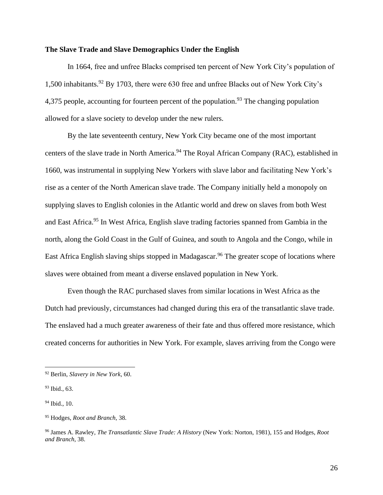#### **The Slave Trade and Slave Demographics Under the English**

In 1664, free and unfree Blacks comprised ten percent of New York City's population of 1,500 inhabitants. <sup>92</sup> By 1703, there were 630 free and unfree Blacks out of New York City's 4,375 people, accounting for fourteen percent of the population.<sup>93</sup> The changing population allowed for a slave society to develop under the new rulers.

By the late seventeenth century, New York City became one of the most important centers of the slave trade in North America.<sup>94</sup> The Royal African Company (RAC), established in 1660, was instrumental in supplying New Yorkers with slave labor and facilitating New York's rise as a center of the North American slave trade. The Company initially held a monopoly on supplying slaves to English colonies in the Atlantic world and drew on slaves from both West and East Africa.<sup>95</sup> In West Africa, English slave trading factories spanned from Gambia in the north, along the Gold Coast in the Gulf of Guinea, and south to Angola and the Congo, while in East Africa English slaving ships stopped in Madagascar.<sup>96</sup> The greater scope of locations where slaves were obtained from meant a diverse enslaved population in New York.

Even though the RAC purchased slaves from similar locations in West Africa as the Dutch had previously, circumstances had changed during this era of the transatlantic slave trade. The enslaved had a much greater awareness of their fate and thus offered more resistance, which created concerns for authorities in New York. For example, slaves arriving from the Congo were

<sup>92</sup> Berlin, *Slavery in New York*, 60.

<sup>93</sup> Ibid., 63.

 $94$  Ibid., 10.

<sup>95</sup> Hodges, *Root and Branch,* 38.

<sup>96</sup> James A. Rawley, *The Transatlantic Slave Trade: A History* (New York: Norton, 1981), 155 and Hodges, *Root and Branch*, 38.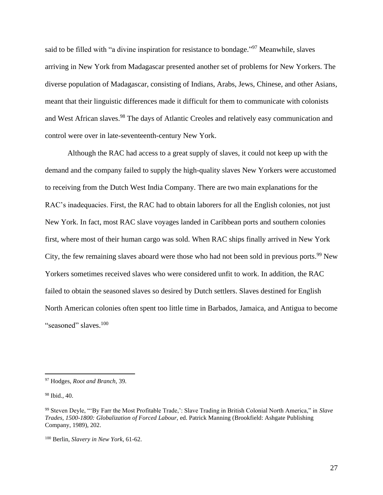said to be filled with "a divine inspiration for resistance to bondage."<sup>97</sup> Meanwhile, slaves arriving in New York from Madagascar presented another set of problems for New Yorkers. The diverse population of Madagascar, consisting of Indians, Arabs, Jews, Chinese, and other Asians, meant that their linguistic differences made it difficult for them to communicate with colonists and West African slaves.<sup>98</sup> The days of Atlantic Creoles and relatively easy communication and control were over in late-seventeenth-century New York.

Although the RAC had access to a great supply of slaves, it could not keep up with the demand and the company failed to supply the high-quality slaves New Yorkers were accustomed to receiving from the Dutch West India Company. There are two main explanations for the RAC's inadequacies. First, the RAC had to obtain laborers for all the English colonies, not just New York. In fact, most RAC slave voyages landed in Caribbean ports and southern colonies first, where most of their human cargo was sold. When RAC ships finally arrived in New York City, the few remaining slaves aboard were those who had not been sold in previous ports.<sup>99</sup> New Yorkers sometimes received slaves who were considered unfit to work. In addition, the RAC failed to obtain the seasoned slaves so desired by Dutch settlers. Slaves destined for English North American colonies often spent too little time in Barbados, Jamaica, and Antigua to become "seasoned" slaves.<sup>100</sup>

<sup>97</sup> Hodges, *Root and Branch,* 39.

<sup>98</sup> Ibid.*,* 40.

<sup>99</sup> Steven Deyle, "'By Farr the Most Profitable Trade,': Slave Trading in British Colonial North America," in *Slave Trades, 1500-1800: Globalization of Forced Labour,* ed. Patrick Manning (Brookfield: Ashgate Publishing Company, 1989), 202.

<sup>100</sup> Berlin, *Slavery in New York*, 61-62.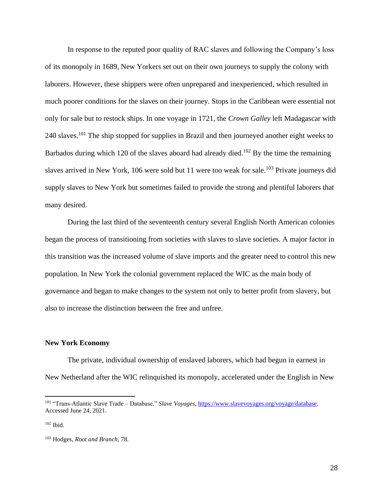In response to the reputed poor quality of RAC slaves and following the Company's loss of its monopoly in 1689, New Yorkers set out on their own journeys to supply the colony with laborers. However, these shippers were often unprepared and inexperienced, which resulted in much poorer conditions for the slaves on their journey. Stops in the Caribbean were essential not only for sale but to restock ships. In one voyage in 1721, the *Crown Galley* left Madagascar with 240 slaves.<sup>101</sup> The ship stopped for supplies in Brazil and then journeyed another eight weeks to Barbados during which 120 of the slaves aboard had already died.<sup>102</sup> By the time the remaining slaves arrived in New York, 106 were sold but 11 were too weak for sale.<sup>103</sup> Private journeys did supply slaves to New York but sometimes failed to provide the strong and plentiful laborers that many desired.

During the last third of the seventeenth century several English North American colonies began the process of transitioning from societies with slaves to slave societies. A major factor in this transition was the increased volume of slave imports and the greater need to control this new population. In New York the colonial government replaced the WIC as the main body of governance and began to make changes to the system not only to better profit from slavery, but also to increase the distinction between the free and unfree.

#### **New York Economy**

The private, individual ownership of enslaved laborers, which had begun in earnest in New Netherland after the WIC relinquished its monopoly, accelerated under the English in New

<sup>101</sup> "Trans-Atlantic Slave Trade – Database," *Slave Voyages*[, https://www.slavevoyages.org/voyage/database.](https://www.slavevoyages.org/voyage/database) Accessed June 24, 2021.

<sup>102</sup> Ibid.

<sup>103</sup> Hodges, *Root and Branch,* 78.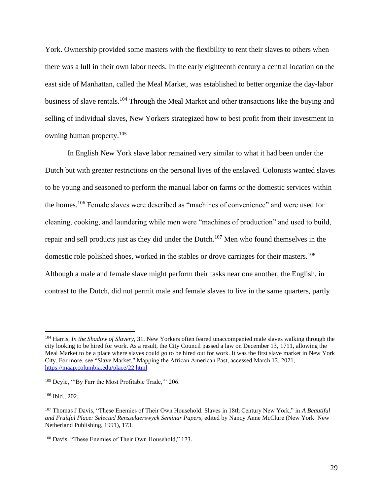York. Ownership provided some masters with the flexibility to rent their slaves to others when there was a lull in their own labor needs. In the early eighteenth century a central location on the east side of Manhattan, called the Meal Market, was established to better organize the day-labor business of slave rentals.<sup>104</sup> Through the Meal Market and other transactions like the buying and selling of individual slaves, New Yorkers strategized how to best profit from their investment in owning human property.<sup>105</sup>

In English New York slave labor remained very similar to what it had been under the Dutch but with greater restrictions on the personal lives of the enslaved. Colonists wanted slaves to be young and seasoned to perform the manual labor on farms or the domestic services within the homes.<sup>106</sup> Female slaves were described as "machines of convenience" and were used for cleaning, cooking, and laundering while men were "machines of production" and used to build, repair and sell products just as they did under the Dutch.<sup>107</sup> Men who found themselves in the domestic role polished shoes, worked in the stables or drove carriages for their masters.<sup>108</sup> Although a male and female slave might perform their tasks near one another, the English, in contrast to the Dutch, did not permit male and female slaves to live in the same quarters, partly

<sup>104</sup> Harris, *In the Shadow of Slavery,* 31. New Yorkers often feared unaccompanied male slaves walking through the city looking to be hired for work. As a result, the City Council passed a law on December 13, 1711, allowing the Meal Market to be a place where slaves could go to be hired out for work. It was the first slave market in New York City. For more, see "Slave Market," Mapping the African American Past, accessed March 12, 2021, <https://maap.columbia.edu/place/22.html>

<sup>&</sup>lt;sup>105</sup> Deyle, "By Farr the Most Profitable Trade," 206.

<sup>106</sup> Ibid., 202.

<sup>107</sup> Thomas J Davis, "These Enemies of Their Own Household: Slaves in 18th Century New York," in *A Beautiful and Fruitful Place: Selected Rensselaerswyck Seminar Papers*, edited by Nancy Anne McClure (New York: New Netherland Publishing, 1991), 173.

<sup>108</sup> Davis, "These Enemies of Their Own Household," 173.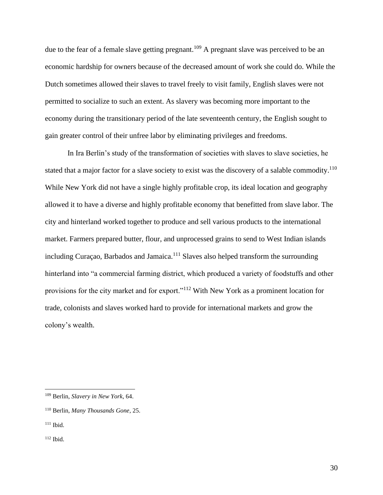due to the fear of a female slave getting pregnant.<sup>109</sup> A pregnant slave was perceived to be an economic hardship for owners because of the decreased amount of work she could do. While the Dutch sometimes allowed their slaves to travel freely to visit family, English slaves were not permitted to socialize to such an extent. As slavery was becoming more important to the economy during the transitionary period of the late seventeenth century, the English sought to gain greater control of their unfree labor by eliminating privileges and freedoms.

In Ira Berlin's study of the transformation of societies with slaves to slave societies, he stated that a major factor for a slave society to exist was the discovery of a salable commodity.<sup>110</sup> While New York did not have a single highly profitable crop, its ideal location and geography allowed it to have a diverse and highly profitable economy that benefitted from slave labor. The city and hinterland worked together to produce and sell various products to the international market. Farmers prepared butter, flour, and unprocessed grains to send to West Indian islands including Curaçao, Barbados and Jamaica.<sup>111</sup> Slaves also helped transform the surrounding hinterland into "a commercial farming district, which produced a variety of foodstuffs and other provisions for the city market and for export."<sup>112</sup> With New York as a prominent location for trade, colonists and slaves worked hard to provide for international markets and grow the colony's wealth.

<sup>109</sup> Berlin, *Slavery in New York*, 64.

<sup>110</sup> Berlin, *Many Thousands Gone*, 25.

 $111$  Ibid.

 $112$  Ibid.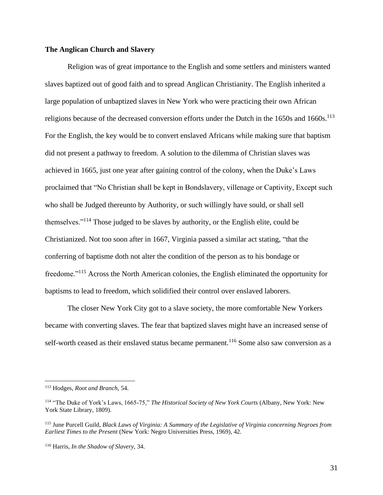#### **The Anglican Church and Slavery**

Religion was of great importance to the English and some settlers and ministers wanted slaves baptized out of good faith and to spread Anglican Christianity. The English inherited a large population of unbaptized slaves in New York who were practicing their own African religions because of the decreased conversion efforts under the Dutch in the 1650s and 1660s.<sup>113</sup> For the English, the key would be to convert enslaved Africans while making sure that baptism did not present a pathway to freedom. A solution to the dilemma of Christian slaves was achieved in 1665, just one year after gaining control of the colony, when the Duke's Laws proclaimed that "No Christian shall be kept in Bondslavery, villenage or Captivity, Except such who shall be Judged thereunto by Authority, or such willingly have sould, or shall sell themselves."<sup>114</sup> Those judged to be slaves by authority, or the English elite, could be Christianized. Not too soon after in 1667, Virginia passed a similar act stating, "that the conferring of baptisme doth not alter the condition of the person as to his bondage or freedome."<sup>115</sup> Across the North American colonies, the English eliminated the opportunity for baptisms to lead to freedom, which solidified their control over enslaved laborers.

The closer New York City got to a slave society, the more comfortable New Yorkers became with converting slaves. The fear that baptized slaves might have an increased sense of self-worth ceased as their enslaved status became permanent.<sup>116</sup> Some also saw conversion as a

<sup>113</sup> Hodges, *Root and Branch,* 54.

<sup>114</sup> "The Duke of York's Laws, 1665-75," *The Historical Society of New York Courts* (Albany, New York: New York State Library, 1809).

<sup>115</sup> June Purcell Guild, *Black Laws of Virginia: A Summary of the Legislative of Virginia concerning Negroes from Earliest Times to the Present* (New York: Negro Universities Press, 1969), 42.

<sup>116</sup> Harris, *In the Shadow of Slavery,* 34.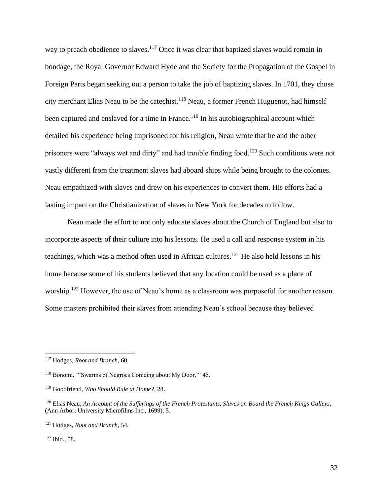way to preach obedience to slaves.<sup>117</sup> Once it was clear that baptized slaves would remain in bondage, the Royal Governor Edward Hyde and the Society for the Propagation of the Gospel in Foreign Parts began seeking out a person to take the job of baptizing slaves. In 1701, they chose city merchant Elias Neau to be the catechist.<sup>118</sup> Neau, a former French Huguenot, had himself been captured and enslaved for a time in France.<sup>119</sup> In his autobiographical account which detailed his experience being imprisoned for his religion, Neau wrote that he and the other prisoners were "always wet and dirty" and had trouble finding food.<sup>120</sup> Such conditions were not vastly different from the treatment slaves had aboard ships while being brought to the colonies. Neau empathized with slaves and drew on his experiences to convert them. His efforts had a lasting impact on the Christianization of slaves in New York for decades to follow.

Neau made the effort to not only educate slaves about the Church of England but also to incorporate aspects of their culture into his lessons. He used a call and response system in his teachings, which was a method often used in African cultures.<sup>121</sup> He also held lessons in his home because some of his students believed that any location could be used as a place of worship.<sup>122</sup> However, the use of Neau's home as a classroom was purposeful for another reason. Some masters prohibited their slaves from attending Neau's school because they believed

 $122$  Ibid., 58.

<sup>117</sup> Hodges, *Root and Branch,* 60.

<sup>118</sup> Bonomi, '"Swarms of Negroes Comeing about My Door,"' 45.

<sup>119</sup> Goodfriend, *Who Should Rule at Home?*, 28.

<sup>120</sup> Elias Neau, *An Account of the Sufferings of the French Protestants, Slaves on Board the French Kings Galleys*, (Ann Arbor: University Microfilms Inc., 1699), 5.

<sup>121</sup> Hodges, *Root and Branch,* 54.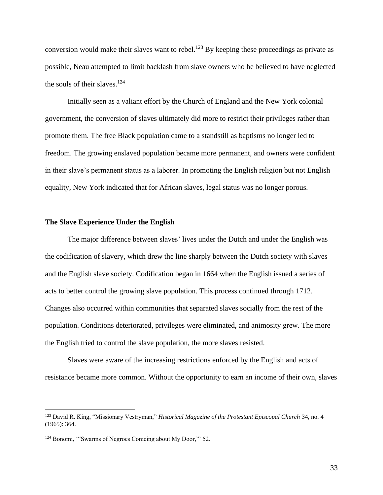conversion would make their slaves want to rebel.<sup>123</sup> By keeping these proceedings as private as possible, Neau attempted to limit backlash from slave owners who he believed to have neglected the souls of their slaves. $124$ 

Initially seen as a valiant effort by the Church of England and the New York colonial government, the conversion of slaves ultimately did more to restrict their privileges rather than promote them. The free Black population came to a standstill as baptisms no longer led to freedom. The growing enslaved population became more permanent, and owners were confident in their slave's permanent status as a laborer. In promoting the English religion but not English equality, New York indicated that for African slaves, legal status was no longer porous.

#### **The Slave Experience Under the English**

The major difference between slaves' lives under the Dutch and under the English was the codification of slavery, which drew the line sharply between the Dutch society with slaves and the English slave society. Codification began in 1664 when the English issued a series of acts to better control the growing slave population. This process continued through 1712. Changes also occurred within communities that separated slaves socially from the rest of the population. Conditions deteriorated, privileges were eliminated, and animosity grew. The more the English tried to control the slave population, the more slaves resisted.

Slaves were aware of the increasing restrictions enforced by the English and acts of resistance became more common. Without the opportunity to earn an income of their own, slaves

<sup>123</sup> David R. King, "Missionary Vestryman," *Historical Magazine of the Protestant Episcopal Church* 34, no. 4 (1965): 364.

<sup>&</sup>lt;sup>124</sup> Bonomi, "Swarms of Negroes Comeing about My Door," 52.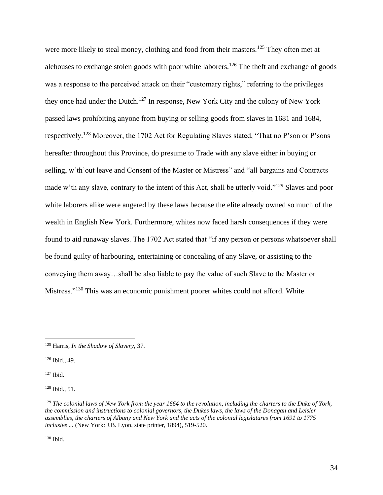were more likely to steal money, clothing and food from their masters.<sup>125</sup> They often met at alehouses to exchange stolen goods with poor white laborers.<sup>126</sup> The theft and exchange of goods was a response to the perceived attack on their "customary rights," referring to the privileges they once had under the Dutch.<sup>127</sup> In response, New York City and the colony of New York passed laws prohibiting anyone from buying or selling goods from slaves in 1681 and 1684, respectively.<sup>128</sup> Moreover, the 1702 Act for Regulating Slaves stated, "That no P'son or P'sons hereafter throughout this Province, do presume to Trade with any slave either in buying or selling, w'th'out leave and Consent of the Master or Mistress" and "all bargains and Contracts made w'th any slave, contrary to the intent of this Act, shall be utterly void."<sup>129</sup> Slaves and poor white laborers alike were angered by these laws because the elite already owned so much of the wealth in English New York. Furthermore, whites now faced harsh consequences if they were found to aid runaway slaves. The 1702 Act stated that "if any person or persons whatsoever shall be found guilty of harbouring, entertaining or concealing of any Slave, or assisting to the conveying them away…shall be also liable to pay the value of such Slave to the Master or Mistress."<sup>130</sup> This was an economic punishment poorer whites could not afford. White

<sup>126</sup> Ibid.*,* 49.

<sup>127</sup> Ibid.

<sup>128</sup> Ibid.*,* 51.

<sup>130</sup> Ibid*.*

<sup>125</sup> Harris, *In the Shadow of Slavery,* 37.

<sup>129</sup> *The colonial laws of New York from the year 1664 to the revolution, including the charters to the Duke of York, the commission and instructions to colonial governors, the Dukes laws, the laws of the Donagan and Leisler assemblies, the charters of Albany and New York and the acts of the colonial legislatures from 1691 to 1775 inclusive ...* (New York: J.B. Lyon, state printer, 1894), 519-520.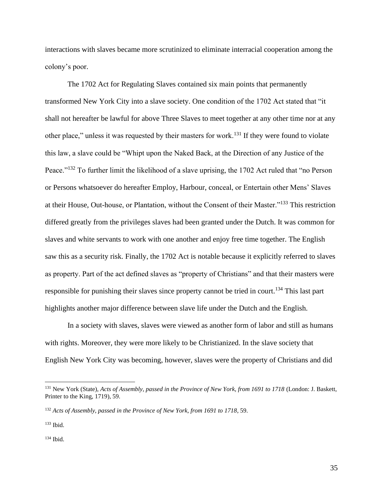interactions with slaves became more scrutinized to eliminate interracial cooperation among the colony's poor.

The 1702 Act for Regulating Slaves contained six main points that permanently transformed New York City into a slave society. One condition of the 1702 Act stated that "it shall not hereafter be lawful for above Three Slaves to meet together at any other time nor at any other place," unless it was requested by their masters for work.<sup>131</sup> If they were found to violate this law, a slave could be "Whipt upon the Naked Back, at the Direction of any Justice of the Peace."<sup>132</sup> To further limit the likelihood of a slave uprising, the 1702 Act ruled that "no Person or Persons whatsoever do hereafter Employ, Harbour, conceal, or Entertain other Mens' Slaves at their House, Out-house, or Plantation, without the Consent of their Master."<sup>133</sup> This restriction differed greatly from the privileges slaves had been granted under the Dutch. It was common for slaves and white servants to work with one another and enjoy free time together. The English saw this as a security risk. Finally, the 1702 Act is notable because it explicitly referred to slaves as property. Part of the act defined slaves as "property of Christians" and that their masters were responsible for punishing their slaves since property cannot be tried in court.<sup>134</sup> This last part highlights another major difference between slave life under the Dutch and the English.

In a society with slaves, slaves were viewed as another form of labor and still as humans with rights. Moreover, they were more likely to be Christianized. In the slave society that English New York City was becoming, however, slaves were the property of Christians and did

 $134$  Ibid.

<sup>131</sup> New York (State), *Acts of Assembly, passed in the Province of New York, from 1691 to 1718* (London: J. Baskett, Printer to the King, 1719), 59.

<sup>132</sup> *Acts of Assembly, passed in the Province of New York, from 1691 to 1718*, 59.

<sup>133</sup> Ibid.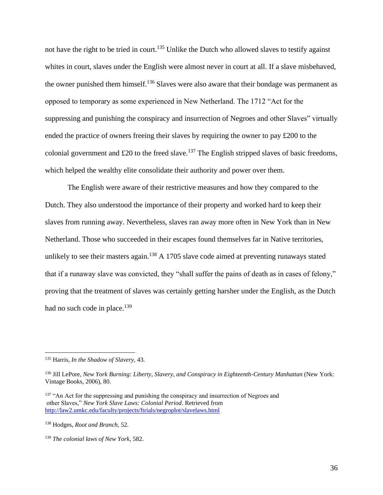not have the right to be tried in court.<sup>135</sup> Unlike the Dutch who allowed slaves to testify against whites in court, slaves under the English were almost never in court at all. If a slave misbehaved, the owner punished them himself.<sup>136</sup> Slaves were also aware that their bondage was permanent as opposed to temporary as some experienced in New Netherland. The 1712 "Act for the suppressing and punishing the conspiracy and insurrection of Negroes and other Slaves" virtually ended the practice of owners freeing their slaves by requiring the owner to pay £200 to the colonial government and  $£20$  to the freed slave.<sup>137</sup> The English stripped slaves of basic freedoms, which helped the wealthy elite consolidate their authority and power over them.

The English were aware of their restrictive measures and how they compared to the Dutch. They also understood the importance of their property and worked hard to keep their slaves from running away. Nevertheless, slaves ran away more often in New York than in New Netherland. Those who succeeded in their escapes found themselves far in Native territories, unlikely to see their masters again.<sup>138</sup> A 1705 slave code aimed at preventing runaways stated that if a runaway slave was convicted, they "shall suffer the pains of death as in cases of felony," proving that the treatment of slaves was certainly getting harsher under the English, as the Dutch had no such code in place.<sup>139</sup>

<sup>135</sup> Harris, *In the Shadow of Slavery,* 43.

<sup>136</sup> Jill LePore, *New York Burning: Liberty, Slavery, and Conspiracy in Eighteenth-Century Manhattan* (New York: Vintage Books, 2006), 80.

<sup>&</sup>lt;sup>137</sup> "An Act for the suppressing and punishing the conspiracy and insurrection of Negroes and other Slaves," *New York Slave Laws: Colonial Period*. Retrieved from <http://law2.umkc.edu/faculty/projects/ftrials/negroplot/slavelaws.html>

<sup>138</sup> Hodges, *Root and Branch,* 52.

<sup>139</sup> *The colonial laws of New York,* 582.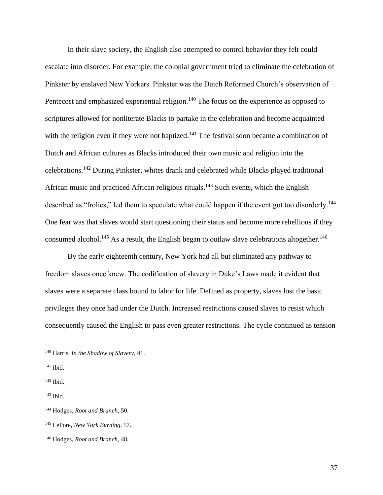In their slave society, the English also attempted to control behavior they felt could escalate into disorder. For example, the colonial government tried to eliminate the celebration of Pinkster by enslaved New Yorkers. Pinkster was the Dutch Reformed Church's observation of Pentecost and emphasized experiential religion.<sup>140</sup> The focus on the experience as opposed to scriptures allowed for nonliterate Blacks to partake in the celebration and become acquainted with the religion even if they were not baptized.<sup>141</sup> The festival soon became a combination of Dutch and African cultures as Blacks introduced their own music and religion into the celebrations.<sup>142</sup> During Pinkster, whites drank and celebrated while Blacks played traditional African music and practiced African religious rituals.<sup>143</sup> Such events, which the English described as "frolics," led them to speculate what could happen if the event got too disorderly.<sup>144</sup> One fear was that slaves would start questioning their status and become more rebellious if they consumed alcohol.<sup>145</sup> As a result, the English began to outlaw slave celebrations altogether.<sup>146</sup>

By the early eighteenth century, New York had all but eliminated any pathway to freedom slaves once knew. The codification of slavery in Duke's Laws made it evident that slaves were a separate class bound to labor for life. Defined as property, slaves lost the basic privileges they once had under the Dutch. Increased restrictions caused slaves to resist which consequently caused the English to pass even greater restrictions. The cycle continued as tension

<sup>140</sup> Harris, *In the Shadow of Slavery*, 41.

<sup>141</sup> Ibid.

 $142$  Ibid.

<sup>143</sup> Ibid.

<sup>144</sup> Hodges, *Root and Branch,* 50.

<sup>145</sup> LePore, *New York Burning,* 57.

<sup>146</sup> Hodges, *Root and Branch,* 48.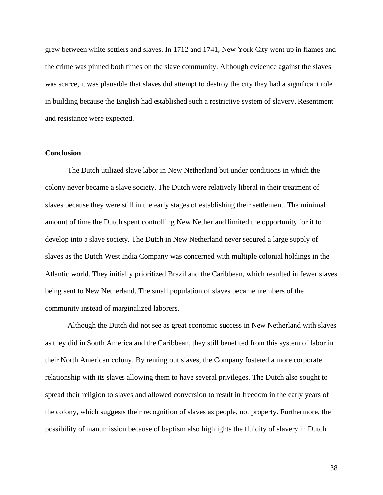grew between white settlers and slaves. In 1712 and 1741, New York City went up in flames and the crime was pinned both times on the slave community. Although evidence against the slaves was scarce, it was plausible that slaves did attempt to destroy the city they had a significant role in building because the English had established such a restrictive system of slavery. Resentment and resistance were expected.

#### **Conclusion**

The Dutch utilized slave labor in New Netherland but under conditions in which the colony never became a slave society. The Dutch were relatively liberal in their treatment of slaves because they were still in the early stages of establishing their settlement. The minimal amount of time the Dutch spent controlling New Netherland limited the opportunity for it to develop into a slave society. The Dutch in New Netherland never secured a large supply of slaves as the Dutch West India Company was concerned with multiple colonial holdings in the Atlantic world. They initially prioritized Brazil and the Caribbean, which resulted in fewer slaves being sent to New Netherland. The small population of slaves became members of the community instead of marginalized laborers.

Although the Dutch did not see as great economic success in New Netherland with slaves as they did in South America and the Caribbean, they still benefited from this system of labor in their North American colony. By renting out slaves, the Company fostered a more corporate relationship with its slaves allowing them to have several privileges. The Dutch also sought to spread their religion to slaves and allowed conversion to result in freedom in the early years of the colony, which suggests their recognition of slaves as people, not property. Furthermore, the possibility of manumission because of baptism also highlights the fluidity of slavery in Dutch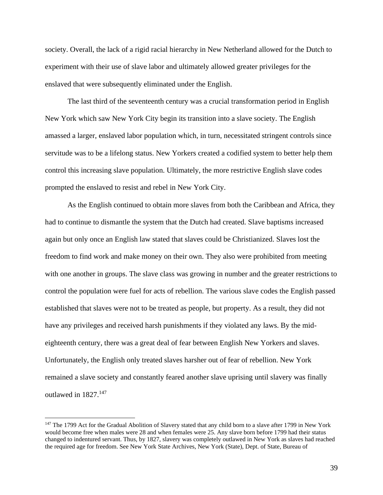society. Overall, the lack of a rigid racial hierarchy in New Netherland allowed for the Dutch to experiment with their use of slave labor and ultimately allowed greater privileges for the enslaved that were subsequently eliminated under the English.

The last third of the seventeenth century was a crucial transformation period in English New York which saw New York City begin its transition into a slave society. The English amassed a larger, enslaved labor population which, in turn, necessitated stringent controls since servitude was to be a lifelong status. New Yorkers created a codified system to better help them control this increasing slave population. Ultimately, the more restrictive English slave codes prompted the enslaved to resist and rebel in New York City.

As the English continued to obtain more slaves from both the Caribbean and Africa, they had to continue to dismantle the system that the Dutch had created. Slave baptisms increased again but only once an English law stated that slaves could be Christianized. Slaves lost the freedom to find work and make money on their own. They also were prohibited from meeting with one another in groups. The slave class was growing in number and the greater restrictions to control the population were fuel for acts of rebellion. The various slave codes the English passed established that slaves were not to be treated as people, but property. As a result, they did not have any privileges and received harsh punishments if they violated any laws. By the mideighteenth century, there was a great deal of fear between English New Yorkers and slaves. Unfortunately, the English only treated slaves harsher out of fear of rebellion. New York remained a slave society and constantly feared another slave uprising until slavery was finally outlawed in 1827.<sup>147</sup>

<sup>&</sup>lt;sup>147</sup> The 1799 Act for the Gradual Abolition of Slavery stated that any child born to a slave after 1799 in New York would become free when males were 28 and when females were 25. Any slave born before 1799 had their status changed to indentured servant. Thus, by 1827, slavery was completely outlawed in New York as slaves had reached the required age for freedom. See New York State Archives, New York (State), Dept. of State, Bureau of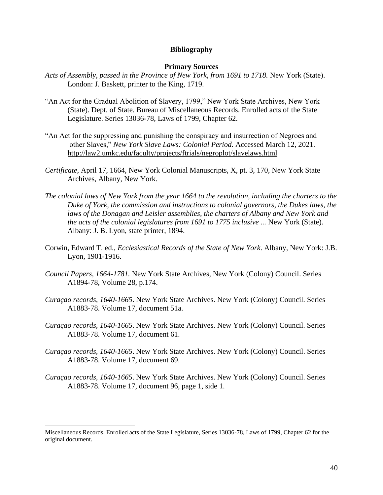#### **Bibliography**

#### **Primary Sources**

- Acts of Assembly, passed in the Province of New York, from 1691 to 1718. New York (State). London: J. Baskett, printer to the King, 1719.
- "An Act for the Gradual Abolition of Slavery, 1799," New York State Archives, New York (State). Dept. of State. Bureau of Miscellaneous Records. Enrolled acts of the State Legislature. Series 13036-78, Laws of 1799, Chapter 62.
- "An Act for the suppressing and punishing the conspiracy and insurrection of Negroes and other Slaves," *New York Slave Laws: Colonial Period*. Accessed March 12, 2021. <http://law2.umkc.edu/faculty/projects/ftrials/negroplot/slavelaws.html>
- *Certificate*, April 17, 1664, New York Colonial Manuscripts, X, pt. 3, 170, New York State Archives, Albany, New York.
- *The colonial laws of New York from the year 1664 to the revolution, including the charters to the Duke of York, the commission and instructions to colonial governors, the Dukes laws, the*  laws of the Donagan and Leisler assemblies, the charters of Albany and New York and *the acts of the colonial legislatures from 1691 to 1775 inclusive ...* New York (State). Albany: J. B. Lyon, state printer, 1894.
- Corwin, Edward T. ed., *Ecclesiastical Records of the State of New York*. Albany, New York: J.B. Lyon, 1901-1916.
- *Council Papers, 1664-1781.* New York State Archives, New York (Colony) Council. Series A1894-78, Volume 28, p.174.
- *Curaçao records, 1640-1665*. New York State Archives. New York (Colony) Council. Series A1883-78. Volume 17, document 51a.
- *Curaçao records, 1640-1665*. New York State Archives. New York (Colony) Council. Series A1883-78. Volume 17, document 61.
- *Curaçao records, 1640-1665*. New York State Archives. New York (Colony) Council. Series A1883-78. Volume 17, document 69.
- *Curaçao records, 1640-1665*. New York State Archives. New York (Colony) Council. Series A1883-78. Volume 17, document 96, page 1, side 1.

Miscellaneous Records. Enrolled acts of the State Legislature, Series 13036-78, Laws of 1799, Chapter 62 for the original document.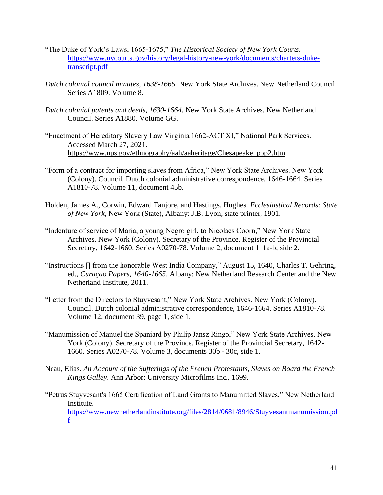- "The Duke of York's Laws, 1665-1675," *The Historical Society of New York Courts*. [https://www.nycourts.gov/history/legal-history-new-york/documents/charters-duke](https://www.nycourts.gov/history/legal-history-new-york/documents/charters-duke-transcript.pdf)[transcript.pdf](https://www.nycourts.gov/history/legal-history-new-york/documents/charters-duke-transcript.pdf)
- *Dutch colonial council minutes, 1638-1665.* New York State Archives. New Netherland Council. Series A1809. Volume 8.
- *Dutch colonial patents and deeds, 1630-1664.* New York State Archives. New Netherland Council. Series A1880. Volume GG.
- "Enactment of Hereditary Slavery Law Virginia 1662-ACT XI," National Park Services. Accessed March 27, 2021. [https://www.nps.gov/ethnography/aah/aaheritage/Chesapeake\\_pop2.htm](https://www.nps.gov/ethnography/aah/aaheritage/Chesapeake_pop2.htm)
- "Form of a contract for importing slaves from Africa," New York State Archives. New York (Colony). Council. Dutch colonial administrative correspondence, 1646-1664. Series A1810-78. Volume 11, document 45b.
- Holden, James A., Corwin, Edward Tanjore, and Hastings*,* Hughes*. Ecclesiastical Records: State of New York*, New York (State), Albany: J.B. Lyon, state printer, 1901.
- "Indenture of service of Maria, a young Negro girl, to Nicolaes Coorn," New York State Archives. New York (Colony). Secretary of the Province. Register of the Provincial Secretary, 1642-1660. Series A0270-78. Volume 2, document 111a-b, side 2.
- "Instructions [] from the honorable West India Company," August 15, 1640, Charles T. Gehring, ed., *Curaçao Papers, 1640-1665*. Albany: New Netherland Research Center and the New Netherland Institute, 2011.
- "Letter from the Directors to Stuyvesant," New York State Archives. New York (Colony). Council. Dutch colonial administrative correspondence, 1646-1664. Series A1810-78. Volume 12, document 39, page 1, side 1.
- "Manumission of Manuel the Spaniard by Philip Jansz Ringo," New York State Archives. New York (Colony). Secretary of the Province. Register of the Provincial Secretary, 1642- 1660. Series A0270-78. Volume 3, documents 30b - 30c, side 1.
- Neau, Elias. *An Account of the Sufferings of the French Protestants, Slaves on Board the French Kings Galley*. Ann Arbor: University Microfilms Inc., 1699.
- "Petrus Stuyvesant's 1665 Certification of Land Grants to Manumitted Slaves," New Netherland Institute. [https://www.newnetherlandinstitute.org/files/2814/0681/8946/Stuyvesantmanumission.pd](https://www.newnetherlandinstitute.org/files/2814/0681/8946/Stuyvesantmanumission.pdf) [f](https://www.newnetherlandinstitute.org/files/2814/0681/8946/Stuyvesantmanumission.pdf)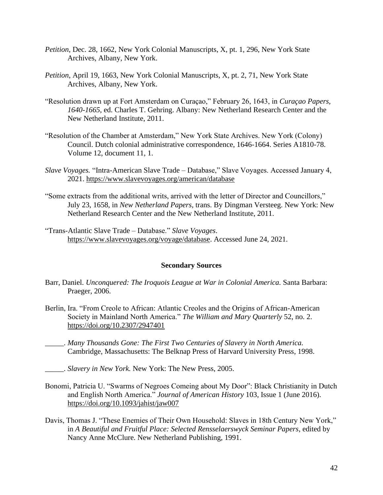- *Petition*, Dec. 28, 1662, New York Colonial Manuscripts, X, pt. 1, 296, New York State Archives, Albany, New York.
- *Petition*, April 19, 1663, New York Colonial Manuscripts, X, pt. 2, 71, New York State Archives, Albany, New York.
- "Resolution drawn up at Fort Amsterdam on Curaçao," February 26, 1643, in *Curaçao Papers, 1640-1665,* ed. Charles T. Gehring. Albany: New Netherland Research Center and the New Netherland Institute, 2011.
- "Resolution of the Chamber at Amsterdam," New York State Archives. New York (Colony) Council. Dutch colonial administrative correspondence, 1646-1664. Series A1810-78. Volume 12, document 11, 1.
- *Slave Voyages.* "Intra-American Slave Trade Database," Slave Voyages. Accessed January 4, 2021.<https://www.slavevoyages.org/american/database>
- "Some extracts from the additional writs, arrived with the letter of Director and Councillors," July 23, 1658, in *New Netherland Papers,* trans. By Dingman Versteeg. New York: New Netherland Research Center and the New Netherland Institute, 2011.
- "Trans-Atlantic Slave Trade Database." *Slave Voyages*. [https://www.slavevoyages.org/voyage/database.](file://///Users/shendrickson/Downloads/%252522) Accessed June 24, 2021.

#### **Secondary Sources**

- Barr, Daniel. *Unconquered: The Iroquois League at War in Colonial America.* Santa Barbara: Praeger, 2006.
- Berlin, Ira. "From Creole to African: Atlantic Creoles and the Origins of African-American Society in Mainland North America." *The William and Mary Quarterly* 52, no. 2. <https://doi.org/10.2307/2947401>
- \_\_\_\_\_. *Many Thousands Gone: The First Two Centuries of Slavery in North America.*  Cambridge, Massachusetts: The Belknap Press of Harvard University Press, 1998.
- \_\_\_\_\_. *Slavery in New York.* New York: The New Press, 2005.
- Bonomi, Patricia U. "Swarms of Negroes Comeing about My Door": Black Christianity in Dutch and English North America." *Journal of American History* 103, Issue 1 (June 2016). <https://doi.org/10.1093/jahist/jaw007>
- Davis, Thomas J. "These Enemies of Their Own Household: Slaves in 18th Century New York," in *A Beautiful and Fruitful Place: Selected Rensselaerswyck Seminar Papers*, edited by Nancy Anne McClure. New Netherland Publishing, 1991.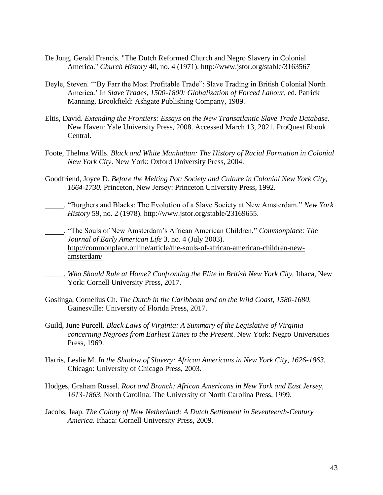- De Jong, Gerald Francis. "The Dutch Reformed Church and Negro Slavery in Colonial America." *Church History* 40, no. 4 (1971).<http://www.jstor.org/stable/3163567>
- Deyle, Steven. '"By Farr the Most Profitable Trade": Slave Trading in British Colonial North America.' In *Slave Trades, 1500-1800: Globalization of Forced Labour,* ed. Patrick Manning. Brookfield: Ashgate Publishing Company, 1989.
- Eltis, David. *Extending the Frontiers: Essays on the New Transatlantic Slave Trade Database.*  New Haven: Yale University Press, 2008. Accessed March 13, 2021. ProQuest Ebook Central.
- Foote, Thelma Wills. *Black and White Manhattan: The History of Racial Formation in Colonial New York City*. New York: Oxford University Press, 2004.
- Goodfriend, Joyce D. *Before the Melting Pot: Society and Culture in Colonial New York City, 1664-1730.* Princeton, New Jersey: Princeton University Press, 1992.
- \_\_\_\_\_. "Burghers and Blacks: The Evolution of a Slave Society at New Amsterdam." *New York History* 59, no. 2 (1978). [http://www.jstor.org/stable/23169655.](http://www.jstor.org/stable/23169655)

\_\_\_\_\_. "The Souls of New Amsterdam's African American Children," *Commonplace: The Journal of Early American Life* 3, no. 4 (July 2003). [http://commonplace.online/article/the-souls-of-african-american-children-new](http://commonplace.online/article/the-souls-of-african-american-children-new-amsterdam/)[amsterdam/](http://commonplace.online/article/the-souls-of-african-american-children-new-amsterdam/)

- \_\_\_\_\_. *Who Should Rule at Home? Confronting the Elite in British New York City.* Ithaca, New York: Cornell University Press, 2017.
- Goslinga, Cornelius Ch. *The Dutch in the Caribbean and on the Wild Coast, 1580-1680*. Gainesville: University of Florida Press, 2017.
- Guild, June Purcell. *Black Laws of Virginia: A Summary of the Legislative of Virginia concerning Negroes from Earliest Times to the Present*. New York: Negro Universities Press, 1969.
- Harris, Leslie M. *In the Shadow of Slavery: African Americans in New York City, 1626-1863.*  Chicago: University of Chicago Press, 2003.
- Hodges, Graham Russel. *Root and Branch: African Americans in New York and East Jersey, 1613-1863*. North Carolina: The University of North Carolina Press, 1999.
- Jacobs, Jaap. *The Colony of New Netherland: A Dutch Settlement in Seventeenth-Century America.* Ithaca: Cornell University Press, 2009.